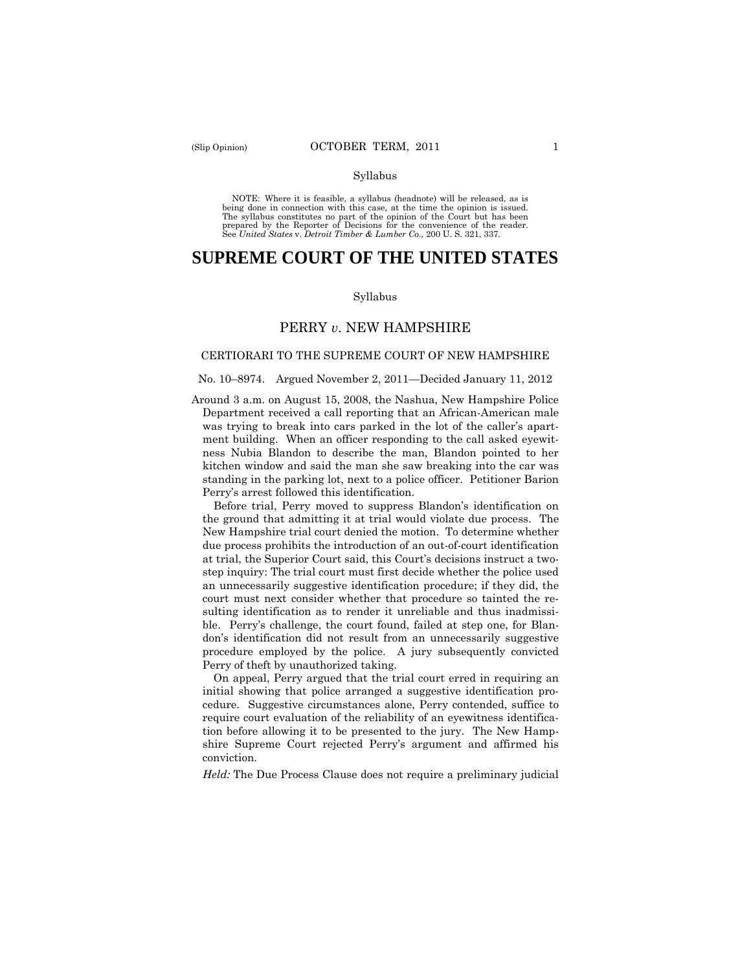NOTE: Where it is feasible, a syllabus (headnote) will be released, as is being done in connection with this case, at the time the opinion is issued. The syllabus constitutes no part of the opinion of the Court but has been<br>prepared by the Reporter of Decisions for the convenience of the reader.<br>See United States v. Detroit Timber & Lumber Co., 200 U. S. 321, 337.

# **SUPREME COURT OF THE UNITED STATES**

#### Syllabus

## PERRY *v*. NEW HAMPSHIRE

#### CERTIORARI TO THE SUPREME COURT OF NEW HAMPSHIRE

#### No. 10–8974. Argued November 2, 2011—Decided January 11, 2012

Around 3 a.m. on August 15, 2008, the Nashua, New Hampshire Police Department received a call reporting that an African-American male was trying to break into cars parked in the lot of the caller's apartment building. When an officer responding to the call asked eyewitness Nubia Blandon to describe the man, Blandon pointed to her kitchen window and said the man she saw breaking into the car was standing in the parking lot, next to a police officer. Petitioner Barion Perry's arrest followed this identification.

Before trial, Perry moved to suppress Blandon's identification on the ground that admitting it at trial would violate due process. The New Hampshire trial court denied the motion. To determine whether due process prohibits the introduction of an out-of-court identification at trial, the Superior Court said, this Court's decisions instruct a twostep inquiry: The trial court must first decide whether the police used an unnecessarily suggestive identification procedure; if they did, the court must next consider whether that procedure so tainted the resulting identification as to render it unreliable and thus inadmissible. Perry's challenge, the court found, failed at step one, for Blandon's identification did not result from an unnecessarily suggestive procedure employed by the police. A jury subsequently convicted Perry of theft by unauthorized taking.

On appeal, Perry argued that the trial court erred in requiring an initial showing that police arranged a suggestive identification procedure. Suggestive circumstances alone, Perry contended, suffice to require court evaluation of the reliability of an eyewitness identification before allowing it to be presented to the jury. The New Hampshire Supreme Court rejected Perry's argument and affirmed his conviction.

*Held:* The Due Process Clause does not require a preliminary judicial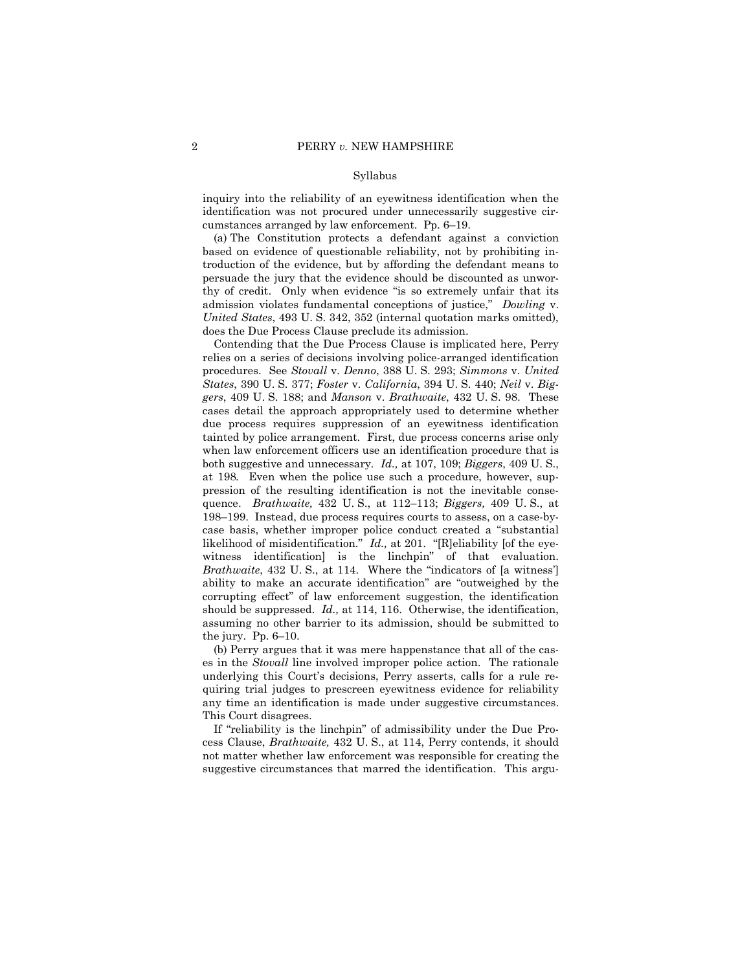inquiry into the reliability of an eyewitness identification when the identification was not procured under unnecessarily suggestive circumstances arranged by law enforcement. Pp. 6–19.

(a) The Constitution protects a defendant against a conviction based on evidence of questionable reliability, not by prohibiting introduction of the evidence, but by affording the defendant means to persuade the jury that the evidence should be discounted as unworthy of credit. Only when evidence "is so extremely unfair that its admission violates fundamental conceptions of justice," *Dowling* v. *United States*, 493 U. S. 342, 352 (internal quotation marks omitted), does the Due Process Clause preclude its admission.

 both suggestive and unnecessary*. Id.,* at 107, 109; *Biggers*, 409 U. S., should be suppressed. *Id.,* at 114, 116. Otherwise, the identification, Contending that the Due Process Clause is implicated here, Perry relies on a series of decisions involving police-arranged identification procedures. See *Stovall* v. *Denno*, 388 U. S. 293; *Simmons* v. *United States*, 390 U. S. 377; *Foster* v. *California*, 394 U. S. 440; *Neil* v. *Biggers*, 409 U. S. 188; and *Manson* v. *Brathwaite*, 432 U. S. 98. These cases detail the approach appropriately used to determine whether due process requires suppression of an eyewitness identification tainted by police arrangement. First, due process concerns arise only when law enforcement officers use an identification procedure that is at 198*.* Even when the police use such a procedure, however, suppression of the resulting identification is not the inevitable consequence. *Brathwaite,* 432 U. S., at 112–113; *Biggers,* 409 U. S., at 198–199. Instead, due process requires courts to assess, on a case-bycase basis, whether improper police conduct created a "substantial likelihood of misidentification." *Id.,* at 201. "[R]eliability [of the eyewitness identification] is the linchpin" of that evaluation. *Brathwaite*, 432 U.S., at 114. Where the "indicators of [a witness'] ability to make an accurate identification" are "outweighed by the corrupting effect" of law enforcement suggestion, the identification assuming no other barrier to its admission, should be submitted to the jury. Pp. 6–10.

(b) Perry argues that it was mere happenstance that all of the cases in the *Stovall* line involved improper police action. The rationale underlying this Court's decisions, Perry asserts, calls for a rule requiring trial judges to prescreen eyewitness evidence for reliability any time an identification is made under suggestive circumstances. This Court disagrees.

If "reliability is the linchpin" of admissibility under the Due Process Clause, *Brathwaite,* 432 U. S., at 114, Perry contends, it should not matter whether law enforcement was responsible for creating the suggestive circumstances that marred the identification. This argu-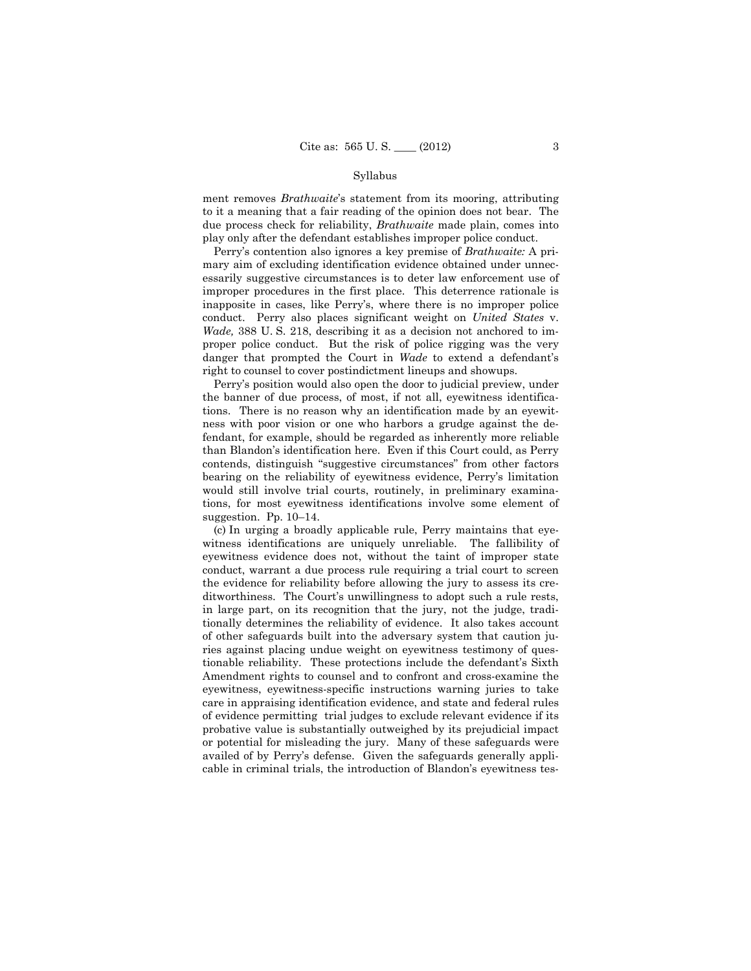ment removes *Brathwaite*'s statement from its mooring, attributing to it a meaning that a fair reading of the opinion does not bear. The due process check for reliability, *Brathwaite* made plain, comes into play only after the defendant establishes improper police conduct.

Perry's contention also ignores a key premise of *Brathwaite:* A primary aim of excluding identification evidence obtained under unnecessarily suggestive circumstances is to deter law enforcement use of improper procedures in the first place. This deterrence rationale is inapposite in cases, like Perry's, where there is no improper police conduct. Perry also places significant weight on *United States* v. *Wade,* 388 U. S. 218, describing it as a decision not anchored to improper police conduct. But the risk of police rigging was the very danger that prompted the Court in *Wade* to extend a defendant's right to counsel to cover postindictment lineups and showups.

Perry's position would also open the door to judicial preview, under the banner of due process, of most, if not all, eyewitness identifications. There is no reason why an identification made by an eyewitness with poor vision or one who harbors a grudge against the defendant, for example, should be regarded as inherently more reliable than Blandon's identification here. Even if this Court could, as Perry contends, distinguish "suggestive circumstances" from other factors bearing on the reliability of eyewitness evidence, Perry's limitation would still involve trial courts, routinely, in preliminary examinations, for most eyewitness identifications involve some element of suggestion. Pp. 10–14.

(c) In urging a broadly applicable rule, Perry maintains that eyewitness identifications are uniquely unreliable. The fallibility of eyewitness evidence does not, without the taint of improper state conduct, warrant a due process rule requiring a trial court to screen the evidence for reliability before allowing the jury to assess its creditworthiness. The Court's unwillingness to adopt such a rule rests, in large part, on its recognition that the jury, not the judge, traditionally determines the reliability of evidence. It also takes account of other safeguards built into the adversary system that caution juries against placing undue weight on eyewitness testimony of questionable reliability. These protections include the defendant's Sixth Amendment rights to counsel and to confront and cross-examine the eyewitness, eyewitness-specific instructions warning juries to take care in appraising identification evidence, and state and federal rules of evidence permitting trial judges to exclude relevant evidence if its probative value is substantially outweighed by its prejudicial impact or potential for misleading the jury. Many of these safeguards were availed of by Perry's defense. Given the safeguards generally applicable in criminal trials, the introduction of Blandon's eyewitness tes-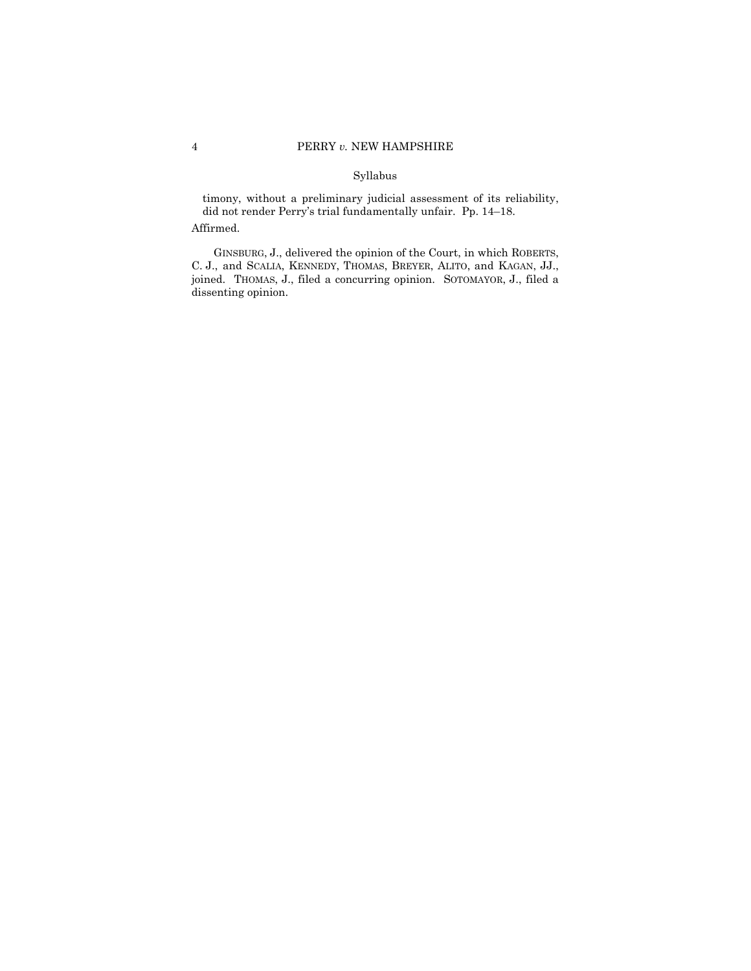timony, without a preliminary judicial assessment of its reliability, did not render Perry's trial fundamentally unfair. Pp. 14–18.

Affirmed.

 C. J., and SCALIA, KENNEDY, THOMAS, BREYER, ALITO, and KAGAN, JJ., GINSBURG, J., delivered the opinion of the Court, in which ROBERTS, joined. THOMAS, J., filed a concurring opinion. SOTOMAYOR, J., filed a dissenting opinion.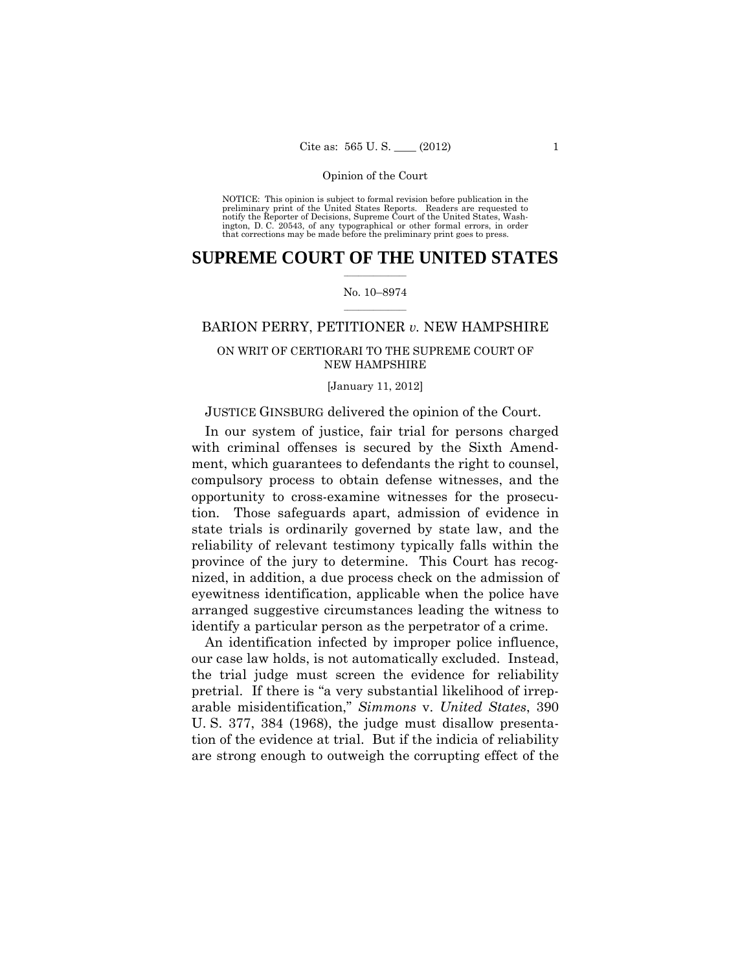preliminary print of the United States Reports. Readers are requested to notify the Reporter of Decisions, Supreme Court of the United States, Wash- ington, D. C. 20543, of any typographical or other formal errors, in order that corrections may be made before the preliminary print goes to press. NOTICE: This opinion is subject to formal revision before publication in the

## $\frac{1}{2}$  ,  $\frac{1}{2}$  ,  $\frac{1}{2}$  ,  $\frac{1}{2}$  ,  $\frac{1}{2}$  ,  $\frac{1}{2}$  ,  $\frac{1}{2}$ **SUPREME COURT OF THE UNITED STATES**

#### $\frac{1}{2}$  ,  $\frac{1}{2}$  ,  $\frac{1}{2}$  ,  $\frac{1}{2}$  ,  $\frac{1}{2}$  ,  $\frac{1}{2}$ No. 10–8974

## BARION PERRY, PETITIONER *v.* NEW HAMPSHIRE

## ON WRIT OF CERTIORARI TO THE SUPREME COURT OF NEW HAMPSHIRE

#### [January 11, 2012]

## JUSTICE GINSBURG delivered the opinion of the Court.

In our system of justice, fair trial for persons charged with criminal offenses is secured by the Sixth Amendment, which guarantees to defendants the right to counsel, compulsory process to obtain defense witnesses, and the opportunity to cross-examine witnesses for the prosecution. Those safeguards apart, admission of evidence in state trials is ordinarily governed by state law, and the reliability of relevant testimony typically falls within the province of the jury to determine. This Court has recognized, in addition, a due process check on the admission of eyewitness identification, applicable when the police have arranged suggestive circumstances leading the witness to identify a particular person as the perpetrator of a crime.

An identification infected by improper police influence, our case law holds, is not automatically excluded. Instead, the trial judge must screen the evidence for reliability pretrial. If there is "a very substantial likelihood of irreparable misidentification," *Simmons* v. *United States*, 390 U. S. 377, 384 (1968), the judge must disallow presentation of the evidence at trial. But if the indicia of reliability are strong enough to outweigh the corrupting effect of the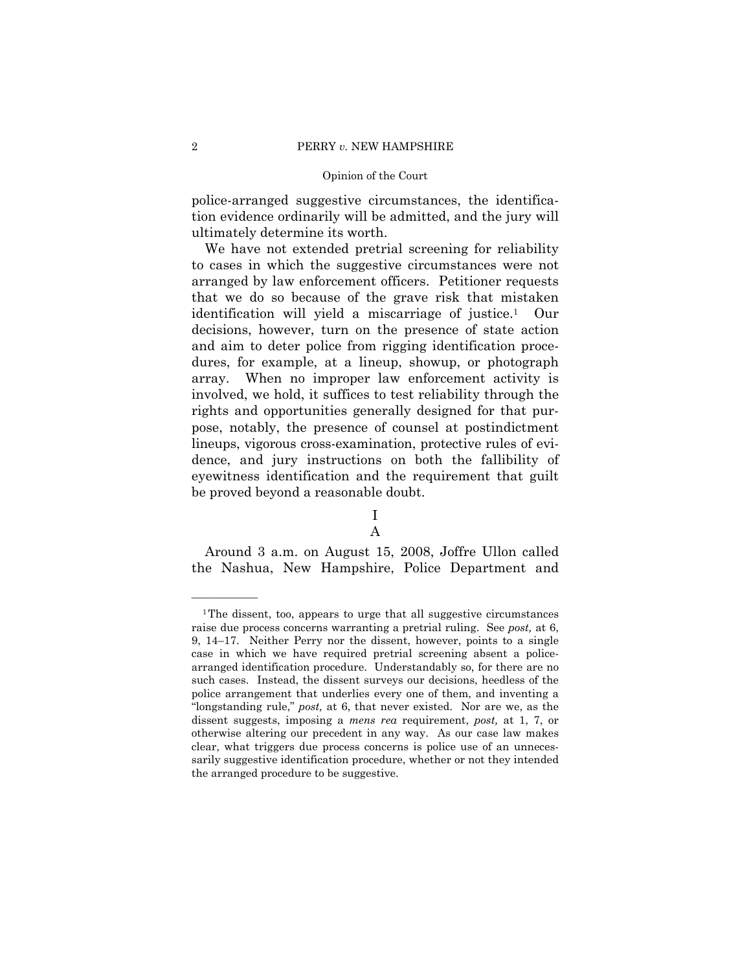police-arranged suggestive circumstances, the identification evidence ordinarily will be admitted, and the jury will ultimately determine its worth.

We have not extended pretrial screening for reliability to cases in which the suggestive circumstances were not arranged by law enforcement officers. Petitioner requests that we do so because of the grave risk that mistaken identification will yield a miscarriage of justice.1 Our decisions, however, turn on the presence of state action and aim to deter police from rigging identification procedures, for example, at a lineup, showup, or photograph array. When no improper law enforcement activity is involved, we hold, it suffices to test reliability through the rights and opportunities generally designed for that purpose, notably, the presence of counsel at postindictment lineups, vigorous cross-examination, protective rules of evidence, and jury instructions on both the fallibility of eyewitness identification and the requirement that guilt be proved beyond a reasonable doubt.

# I

A

Around 3 a.m. on August 15, 2008, Joffre Ullon called the Nashua, New Hampshire, Police Department and

<sup>1</sup>The dissent, too, appears to urge that all suggestive circumstances raise due process concerns warranting a pretrial ruling. See *post,* at 6, 9, 14–17. Neither Perry nor the dissent, however, points to a single case in which we have required pretrial screening absent a policearranged identification procedure. Understandably so, for there are no such cases. Instead, the dissent surveys our decisions, heedless of the police arrangement that underlies every one of them, and inventing a "longstanding rule," *post,* at 6, that never existed. Nor are we, as the dissent suggests, imposing a *mens rea* requirement, *post,* at 1, 7, or otherwise altering our precedent in any way. As our case law makes clear, what triggers due process concerns is police use of an unnecessarily suggestive identification procedure, whether or not they intended the arranged procedure to be suggestive.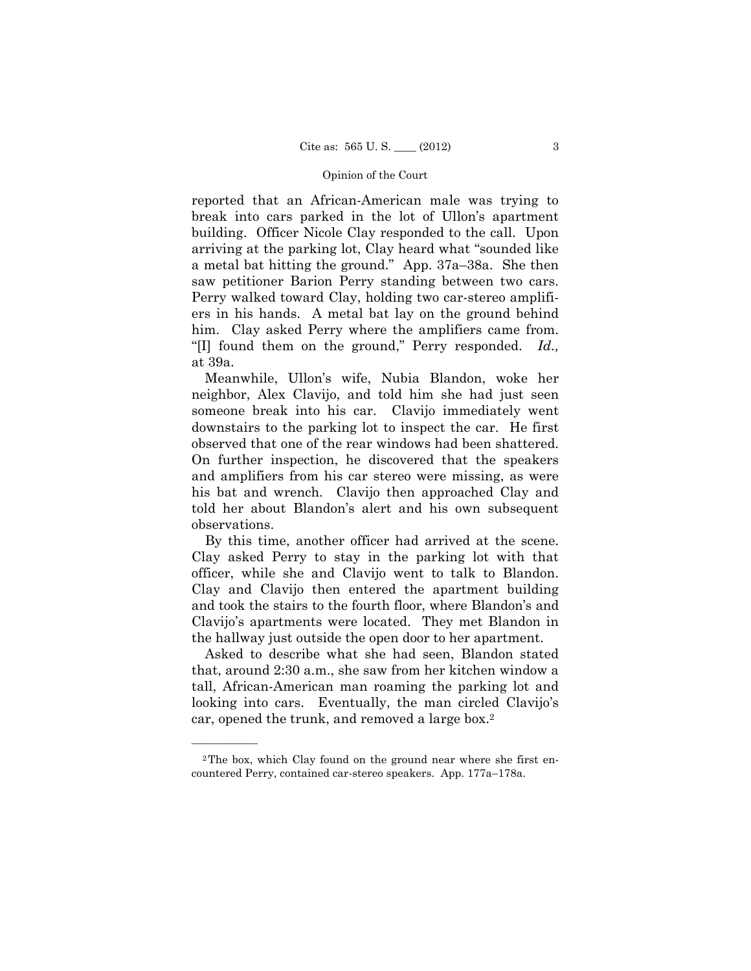reported that an African-American male was trying to break into cars parked in the lot of Ullon's apartment building. Officer Nicole Clay responded to the call. Upon arriving at the parking lot, Clay heard what "sounded like a metal bat hitting the ground." App. 37a–38a. She then saw petitioner Barion Perry standing between two cars. Perry walked toward Clay, holding two car-stereo amplifiers in his hands. A metal bat lay on the ground behind him. Clay asked Perry where the amplifiers came from. "[I] found them on the ground," Perry responded. *Id.,*  at 39a.

Meanwhile, Ullon's wife, Nubia Blandon, woke her neighbor, Alex Clavijo, and told him she had just seen someone break into his car. Clavijo immediately went downstairs to the parking lot to inspect the car. He first observed that one of the rear windows had been shattered. On further inspection, he discovered that the speakers and amplifiers from his car stereo were missing, as were his bat and wrench. Clavijo then approached Clay and told her about Blandon's alert and his own subsequent observations.

By this time, another officer had arrived at the scene. Clay asked Perry to stay in the parking lot with that officer, while she and Clavijo went to talk to Blandon. Clay and Clavijo then entered the apartment building and took the stairs to the fourth floor, where Blandon's and Clavijo's apartments were located. They met Blandon in the hallway just outside the open door to her apartment.

Asked to describe what she had seen, Blandon stated that, around 2:30 a.m., she saw from her kitchen window a tall, African-American man roaming the parking lot and looking into cars. Eventually, the man circled Clavijo's car, opened the trunk, and removed a large box.2

<sup>2</sup>The box, which Clay found on the ground near where she first encountered Perry, contained car-stereo speakers. App. 177a–178a.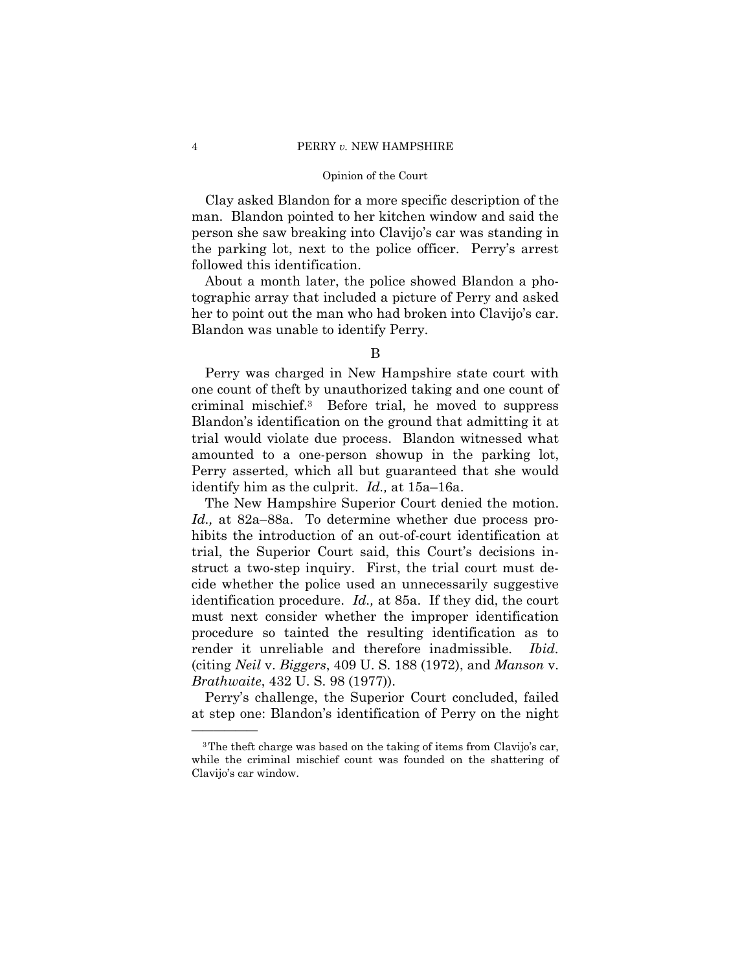Clay asked Blandon for a more specific description of the man. Blandon pointed to her kitchen window and said the person she saw breaking into Clavijo's car was standing in the parking lot, next to the police officer. Perry's arrest followed this identification.

About a month later, the police showed Blandon a photographic array that included a picture of Perry and asked her to point out the man who had broken into Clavijo's car. Blandon was unable to identify Perry.

Perry was charged in New Hampshire state court with one count of theft by unauthorized taking and one count of criminal mischief.3 Before trial, he moved to suppress Blandon's identification on the ground that admitting it at trial would violate due process. Blandon witnessed what amounted to a one-person showup in the parking lot, Perry asserted, which all but guaranteed that she would identify him as the culprit. *Id.,* at 15a–16a.

 The New Hampshire Superior Court denied the motion. identification procedure. *Id.,* at 85a. If they did, the court *Id.,* at 82a–88a. To determine whether due process prohibits the introduction of an out-of-court identification at trial, the Superior Court said, this Court's decisions instruct a two-step inquiry. First, the trial court must decide whether the police used an unnecessarily suggestive must next consider whether the improper identification procedure so tainted the resulting identification as to render it unreliable and therefore inadmissible. *Ibid.*  (citing *Neil* v. *Biggers*, 409 U. S. 188 (1972), and *Manson* v. *Brathwaite*, 432 U. S. 98 (1977)).

Perry's challenge, the Superior Court concluded, failed at step one: Blandon's identification of Perry on the night

B

<sup>3</sup>The theft charge was based on the taking of items from Clavijo's car, while the criminal mischief count was founded on the shattering of Clavijo's car window.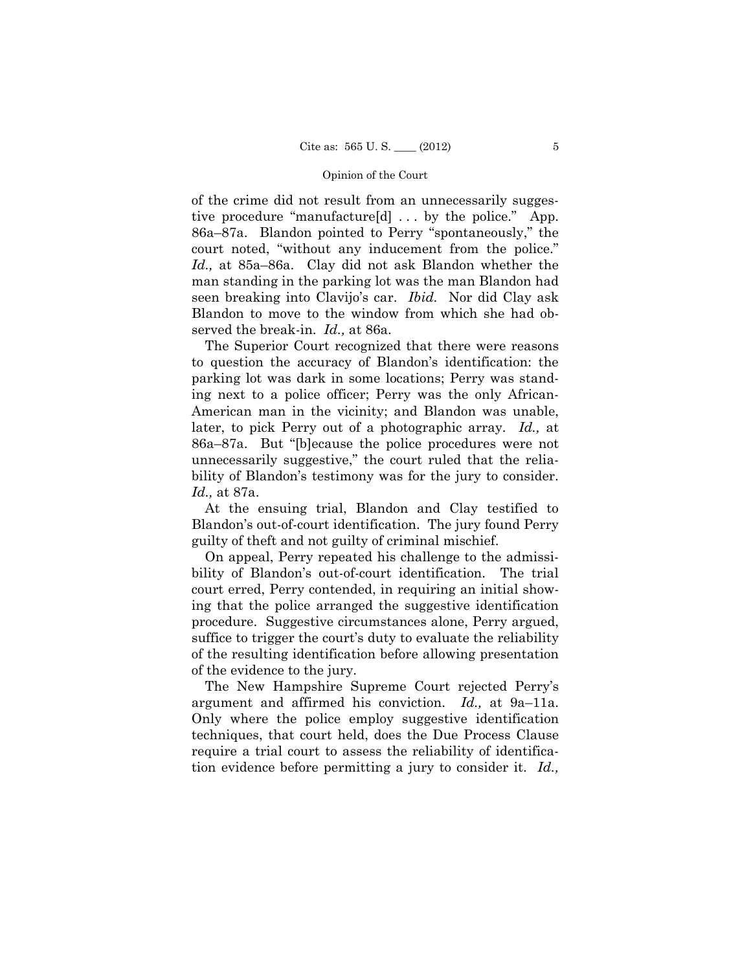of the crime did not result from an unnecessarily suggestive procedure "manufacture[d] . . . by the police." App. 86a–87a. Blandon pointed to Perry "spontaneously," the court noted, "without any inducement from the police." *Id.,* at 85a–86a. Clay did not ask Blandon whether the man standing in the parking lot was the man Blandon had seen breaking into Clavijo's car. *Ibid.* Nor did Clay ask Blandon to move to the window from which she had observed the break-in. *Id.,* at 86a.

The Superior Court recognized that there were reasons to question the accuracy of Blandon's identification: the parking lot was dark in some locations; Perry was standing next to a police officer; Perry was the only African-American man in the vicinity; and Blandon was unable, later, to pick Perry out of a photographic array. *Id.,* at 86a–87a. But "[b]ecause the police procedures were not unnecessarily suggestive," the court ruled that the reliability of Blandon's testimony was for the jury to consider. *Id.,* at 87a.

At the ensuing trial, Blandon and Clay testified to Blandon's out-of-court identification. The jury found Perry guilty of theft and not guilty of criminal mischief.

On appeal, Perry repeated his challenge to the admissibility of Blandon's out-of-court identification. The trial court erred, Perry contended, in requiring an initial showing that the police arranged the suggestive identification procedure. Suggestive circumstances alone, Perry argued, suffice to trigger the court's duty to evaluate the reliability of the resulting identification before allowing presentation of the evidence to the jury.

The New Hampshire Supreme Court rejected Perry's argument and affirmed his conviction. *Id.,* at 9a–11a. Only where the police employ suggestive identification techniques, that court held, does the Due Process Clause require a trial court to assess the reliability of identification evidence before permitting a jury to consider it. *Id.,*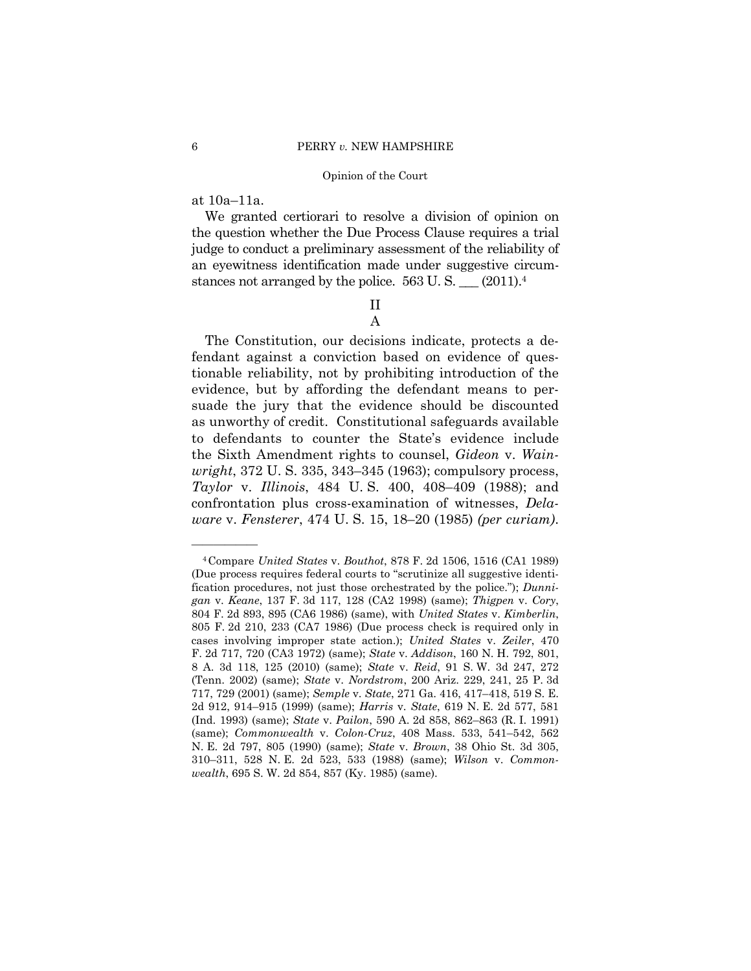at 10a–11a.

——————

We granted certiorari to resolve a division of opinion on the question whether the Due Process Clause requires a trial judge to conduct a preliminary assessment of the reliability of an eyewitness identification made under suggestive circumstances not arranged by the police.  $563 \text{ U.S.}$   $\_\_\_\_ (2011).4$ 

## II A

The Constitution, our decisions indicate, protects a defendant against a conviction based on evidence of questionable reliability, not by prohibiting introduction of the evidence, but by affording the defendant means to persuade the jury that the evidence should be discounted as unworthy of credit. Constitutional safeguards available to defendants to counter the State's evidence include the Sixth Amendment rights to counsel, *Gideon* v. *Wainwright*, 372 U. S. 335, 343–345 (1963); compulsory process, *Taylor* v. *Illinois*, 484 U. S. 400, 408–409 (1988); and confrontation plus cross-examination of witnesses, *Delaware* v. *Fensterer*, 474 U. S. 15, 18–20 (1985) *(per curiam)*.

<sup>4</sup>Compare *United States* v. *Bouthot*, 878 F. 2d 1506, 1516 (CA1 1989) (Due process requires federal courts to "scrutinize all suggestive identification procedures, not just those orchestrated by the police."); *Dunnigan* v. *Keane*, 137 F. 3d 117, 128 (CA2 1998) (same); *Thigpen* v. *Cory*, 804 F. 2d 893, 895 (CA6 1986) (same), with *United States* v. *Kimberlin*, 805 F. 2d 210, 233 (CA7 1986) (Due process check is required only in cases involving improper state action.); *United States* v. *Zeiler*, 470 F. 2d 717, 720 (CA3 1972) (same); *State* v. *Addison*, 160 N. H. 792, 801, 8 A. 3d 118, 125 (2010) (same); *State* v. *Reid*, 91 S. W. 3d 247, 272 (Tenn. 2002) (same); *State* v. *Nordstrom*, 200 Ariz. 229, 241, 25 P. 3d 717, 729 (2001) (same); *Semple* v. *State*, 271 Ga. 416, 417–418, 519 S. E. 2d 912, 914–915 (1999) (same); *Harris* v. *State*, 619 N. E. 2d 577, 581 (Ind. 1993) (same); *State* v. *Pailon*, 590 A. 2d 858, 862–863 (R. I. 1991) (same); *Commonwealth* v. *Colon-Cruz*, 408 Mass. 533, 541–542, 562 N. E. 2d 797, 805 (1990) (same); *State* v. *Brown*, 38 Ohio St. 3d 305, 310–311, 528 N. E. 2d 523, 533 (1988) (same); *Wilson* v. *Commonwealth*, 695 S. W. 2d 854, 857 (Ky. 1985) (same).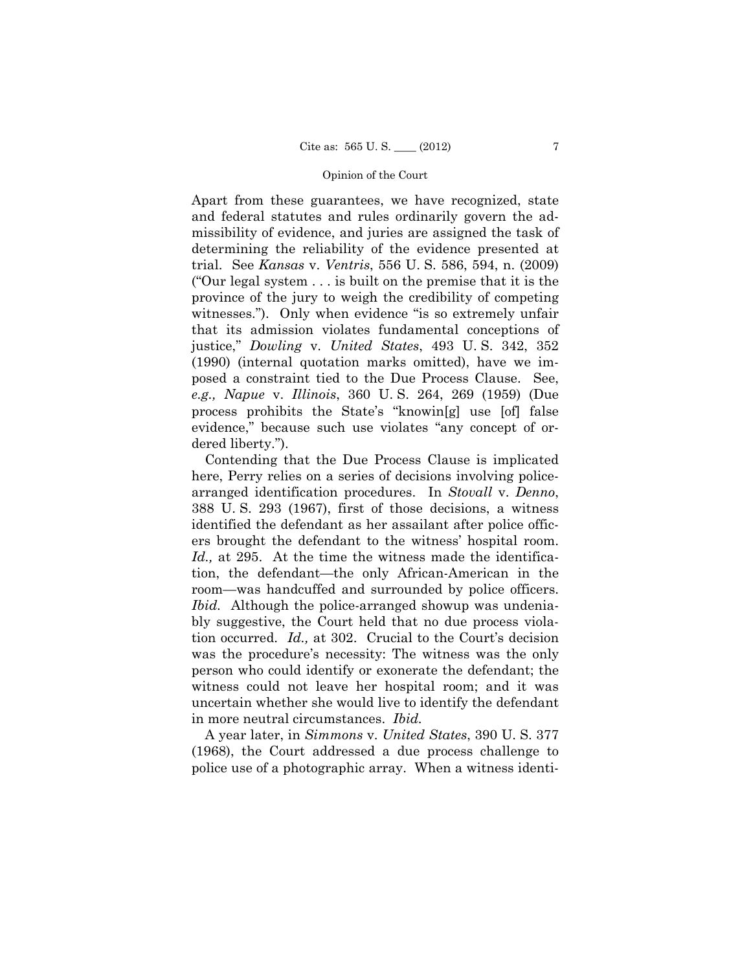Apart from these guarantees, we have recognized, state and federal statutes and rules ordinarily govern the admissibility of evidence, and juries are assigned the task of determining the reliability of the evidence presented at trial. See *Kansas* v. *Ventris*, 556 U. S. 586, 594, n. (2009) ("Our legal system . . . is built on the premise that it is the province of the jury to weigh the credibility of competing witnesses."). Only when evidence "is so extremely unfair that its admission violates fundamental conceptions of justice," *Dowling* v. *United States*, 493 U. S. 342, 352 (1990) (internal quotation marks omitted), have we imposed a constraint tied to the Due Process Clause. See, *e.g., Napue* v. *Illinois*, 360 U. S. 264, 269 (1959) (Due process prohibits the State's "knowin[g] use [of] false evidence," because such use violates "any concept of ordered liberty.").

Contending that the Due Process Clause is implicated here, Perry relies on a series of decisions involving policearranged identification procedures. In *Stovall* v. *Denno*, 388 U. S. 293 (1967), first of those decisions, a witness identified the defendant as her assailant after police officers brought the defendant to the witness' hospital room. *Id.,* at 295. At the time the witness made the identification, the defendant—the only African-American in the room—was handcuffed and surrounded by police officers. *Ibid.* Although the police-arranged showup was undeniably suggestive, the Court held that no due process violation occurred. *Id.,* at 302. Crucial to the Court's decision was the procedure's necessity: The witness was the only person who could identify or exonerate the defendant; the witness could not leave her hospital room; and it was uncertain whether she would live to identify the defendant in more neutral circumstances. *Ibid.* 

A year later, in *Simmons* v. *United States*, 390 U. S. 377 (1968), the Court addressed a due process challenge to police use of a photographic array. When a witness identi-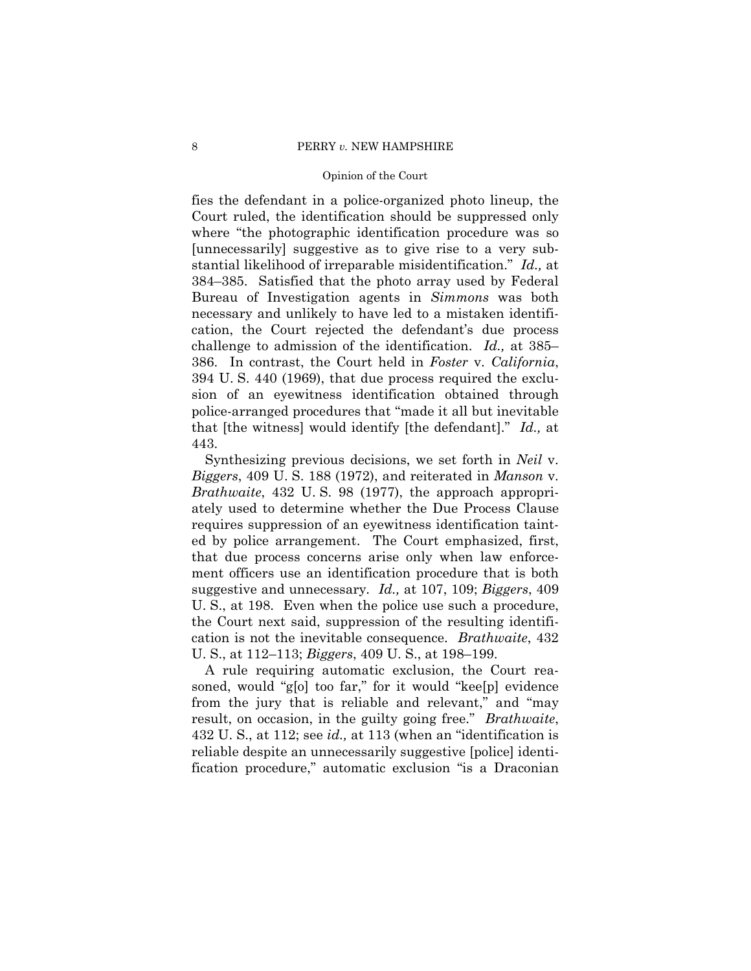fies the defendant in a police-organized photo lineup, the Court ruled, the identification should be suppressed only where "the photographic identification procedure was so [unnecessarily] suggestive as to give rise to a very substantial likelihood of irreparable misidentification." *Id.,* at 384–385. Satisfied that the photo array used by Federal Bureau of Investigation agents in *Simmons* was both necessary and unlikely to have led to a mistaken identification, the Court rejected the defendant's due process challenge to admission of the identification. *Id.,* at 385– 386. In contrast, the Court held in *Foster* v. *California*, 394 U. S. 440 (1969), that due process required the exclusion of an eyewitness identification obtained through police-arranged procedures that "made it all but inevitable that [the witness] would identify [the defendant]." *Id.,* at 443.

 suggestive and unnecessary*. Id.,* at 107, 109; *Biggers*, 409 Synthesizing previous decisions, we set forth in *Neil* v. *Biggers*, 409 U. S. 188 (1972), and reiterated in *Manson* v. *Brathwaite*, 432 U. S. 98 (1977), the approach appropriately used to determine whether the Due Process Clause requires suppression of an eyewitness identification tainted by police arrangement. The Court emphasized, first, that due process concerns arise only when law enforcement officers use an identification procedure that is both U. S., at 198. Even when the police use such a procedure, the Court next said, suppression of the resulting identification is not the inevitable consequence. *Brathwaite*, 432 U. S., at 112–113; *Biggers*, 409 U. S., at 198–199.

A rule requiring automatic exclusion, the Court reasoned, would "g[o] too far," for it would "kee[p] evidence from the jury that is reliable and relevant," and "may result, on occasion, in the guilty going free." *Brathwaite*, 432 U. S., at 112; see *id.,* at 113 (when an "identification is reliable despite an unnecessarily suggestive [police] identification procedure," automatic exclusion "is a Draconian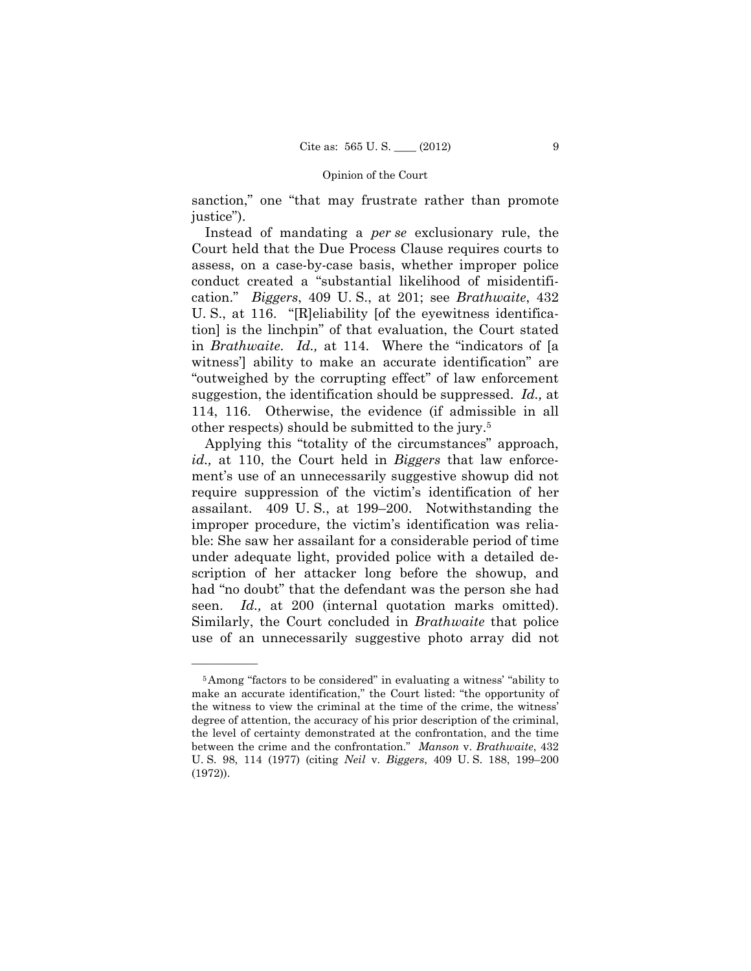sanction," one "that may frustrate rather than promote justice").

Instead of mandating a *per se* exclusionary rule, the Court held that the Due Process Clause requires courts to assess, on a case-by-case basis, whether improper police conduct created a "substantial likelihood of misidentification." *Biggers*, 409 U. S., at 201; see *Brathwaite*, 432 U. S., at 116. "[R]eliability [of the eyewitness identification] is the linchpin" of that evaluation, the Court stated in *Brathwaite*. *Id.,* at 114. Where the "indicators of [a witness'] ability to make an accurate identification" are "outweighed by the corrupting effect" of law enforcement suggestion, the identification should be suppressed. *Id.,* at 114, 116. Otherwise, the evidence (if admissible in all other respects) should be submitted to the jury.5

Applying this "totality of the circumstances" approach, *id.,* at 110, the Court held in *Biggers* that law enforcement's use of an unnecessarily suggestive showup did not require suppression of the victim's identification of her assailant. 409 U. S., at 199–200. Notwithstanding the improper procedure, the victim's identification was reliable: She saw her assailant for a considerable period of time under adequate light, provided police with a detailed description of her attacker long before the showup, and had "no doubt" that the defendant was the person she had seen. *Id.,* at 200 (internal quotation marks omitted). Similarly, the Court concluded in *Brathwaite* that police use of an unnecessarily suggestive photo array did not

<sup>5</sup>Among "factors to be considered" in evaluating a witness' "ability to make an accurate identification," the Court listed: "the opportunity of the witness to view the criminal at the time of the crime, the witness' degree of attention, the accuracy of his prior description of the criminal, the level of certainty demonstrated at the confrontation, and the time between the crime and the confrontation." *Manson* v. *Brathwaite*, 432 U. S. 98, 114 (1977) (citing *Neil* v. *Biggers*, 409 U. S. 188, 199–200 (1972)).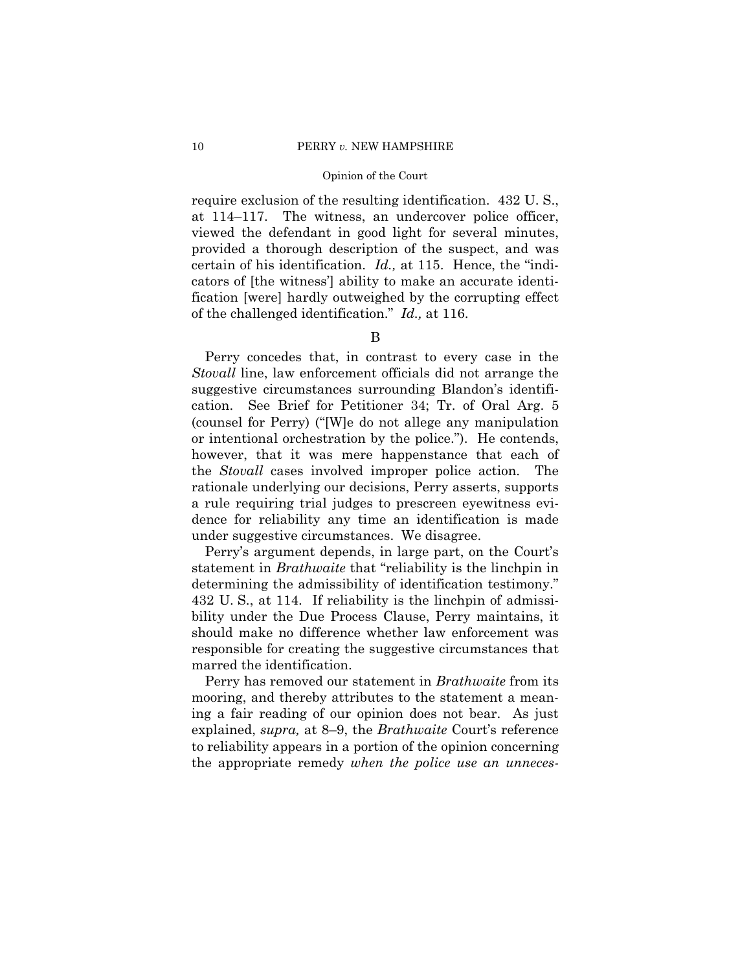require exclusion of the resulting identification. 432 U. S., at 114–117. The witness, an undercover police officer, viewed the defendant in good light for several minutes, provided a thorough description of the suspect, and was certain of his identification. *Id.,* at 115. Hence, the "indicators of [the witness'] ability to make an accurate identification [were] hardly outweighed by the corrupting effect of the challenged identification." *Id.,* at 116.

## B

Perry concedes that, in contrast to every case in the *Stovall* line, law enforcement officials did not arrange the suggestive circumstances surrounding Blandon's identification. See Brief for Petitioner 34; Tr. of Oral Arg. 5 (counsel for Perry) ("[W]e do not allege any manipulation or intentional orchestration by the police."). He contends, however, that it was mere happenstance that each of the *Stovall* cases involved improper police action. The rationale underlying our decisions, Perry asserts, supports a rule requiring trial judges to prescreen eyewitness evidence for reliability any time an identification is made under suggestive circumstances. We disagree.

Perry's argument depends, in large part, on the Court's statement in *Brathwaite* that "reliability is the linchpin in determining the admissibility of identification testimony." 432 U. S., at 114. If reliability is the linchpin of admissibility under the Due Process Clause, Perry maintains, it should make no difference whether law enforcement was responsible for creating the suggestive circumstances that marred the identification.

Perry has removed our statement in *Brathwaite* from its mooring, and thereby attributes to the statement a meaning a fair reading of our opinion does not bear. As just explained, *supra,* at 8–9, the *Brathwaite* Court's reference to reliability appears in a portion of the opinion concerning the appropriate remedy *when the police use an unneces-*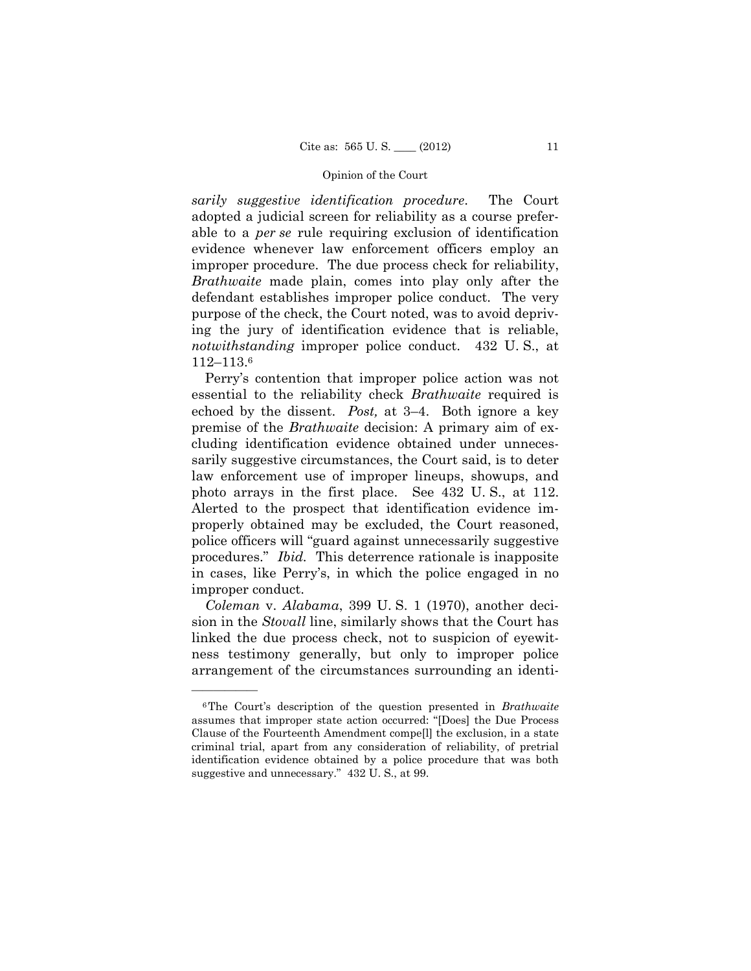*sarily suggestive identification procedure*. The Court adopted a judicial screen for reliability as a course preferable to a *per se* rule requiring exclusion of identification evidence whenever law enforcement officers employ an improper procedure. The due process check for reliability, *Brathwaite* made plain, comes into play only after the defendant establishes improper police conduct. The very purpose of the check, the Court noted, was to avoid depriving the jury of identification evidence that is reliable, *notwithstanding* improper police conduct. 432 U. S., at 112–113.6

Perry's contention that improper police action was not essential to the reliability check *Brathwaite* required is echoed by the dissent. *Post,* at 3–4. Both ignore a key premise of the *Brathwaite* decision: A primary aim of excluding identification evidence obtained under unnecessarily suggestive circumstances, the Court said, is to deter law enforcement use of improper lineups, showups, and photo arrays in the first place. See 432 U. S., at 112. Alerted to the prospect that identification evidence improperly obtained may be excluded, the Court reasoned, police officers will "guard against unnecessarily suggestive procedures." *Ibid.* This deterrence rationale is inapposite in cases, like Perry's, in which the police engaged in no improper conduct.

*Coleman* v. *Alabama*, 399 U. S. 1 (1970), another decision in the *Stovall* line, similarly shows that the Court has linked the due process check, not to suspicion of eyewitness testimony generally, but only to improper police arrangement of the circumstances surrounding an identi-

<sup>6</sup>The Court's description of the question presented in *Brathwaite*  assumes that improper state action occurred: "[Does] the Due Process Clause of the Fourteenth Amendment compe[l] the exclusion, in a state criminal trial, apart from any consideration of reliability, of pretrial identification evidence obtained by a police procedure that was both suggestive and unnecessary." 432 U. S., at 99.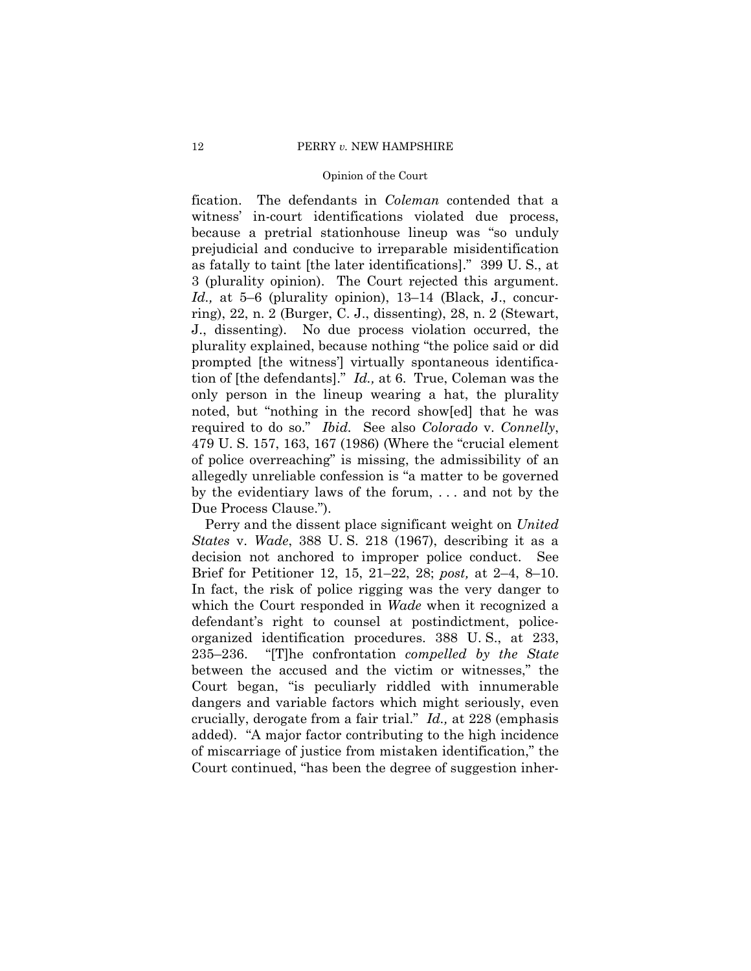3 (plurality opinion). The Court rejected this argument. fication. The defendants in *Coleman* contended that a witness' in-court identifications violated due process, because a pretrial stationhouse lineup was "so unduly prejudicial and conducive to irreparable misidentification as fatally to taint [the later identifications]." 399 U. S., at *Id.,* at 5–6 (plurality opinion), 13–14 (Black, J., concurring), 22, n. 2 (Burger, C. J., dissenting), 28, n. 2 (Stewart, J., dissenting). No due process violation occurred, the plurality explained, because nothing "the police said or did prompted [the witness'] virtually spontaneous identification of [the defendants]." *Id.,* at 6. True, Coleman was the only person in the lineup wearing a hat, the plurality noted, but "nothing in the record show[ed] that he was required to do so." *Ibid.* See also *Colorado* v. *Connelly*, 479 U. S. 157, 163, 167 (1986) (Where the "crucial element of police overreaching" is missing, the admissibility of an allegedly unreliable confession is "a matter to be governed by the evidentiary laws of the forum, . . . and not by the Due Process Clause.").

Perry and the dissent place significant weight on *United States* v. *Wade*, 388 U. S. 218 (1967), describing it as a decision not anchored to improper police conduct. See Brief for Petitioner 12, 15, 21–22, 28; *post,* at 2–4, 8–10. In fact, the risk of police rigging was the very danger to which the Court responded in *Wade* when it recognized a defendant's right to counsel at postindictment, policeorganized identification procedures. 388 U. S., at 233, 235–236. "[T]he confrontation *compelled by the State* between the accused and the victim or witnesses," the Court began, "is peculiarly riddled with innumerable dangers and variable factors which might seriously, even crucially, derogate from a fair trial." *Id.,* at 228 (emphasis added). "A major factor contributing to the high incidence of miscarriage of justice from mistaken identification," the Court continued, "has been the degree of suggestion inher-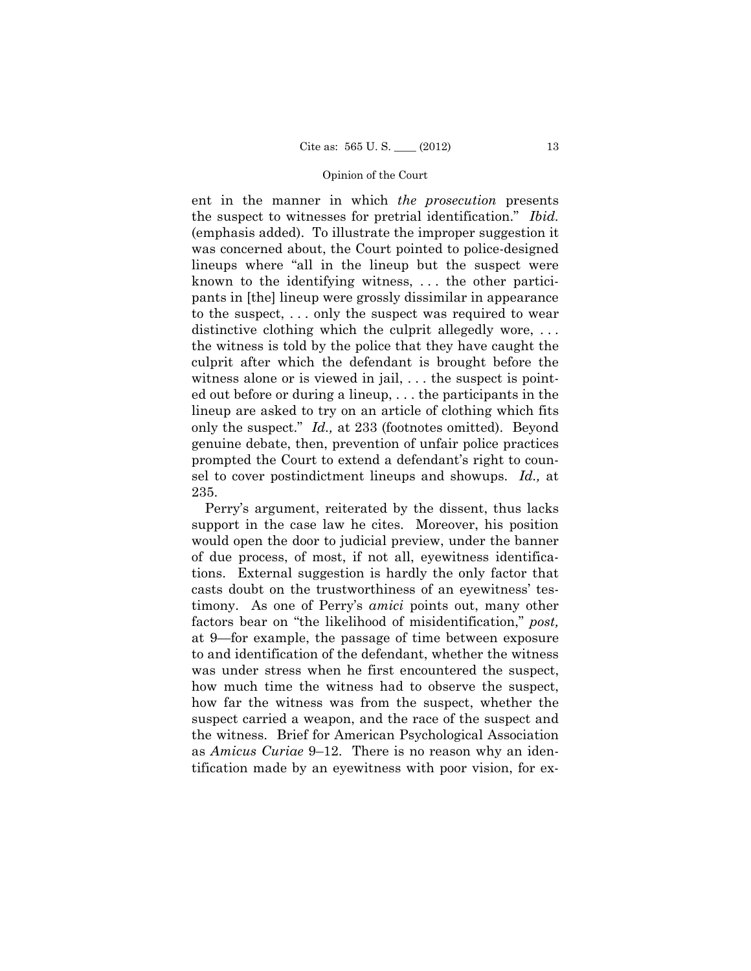ent in the manner in which *the prosecution* presents the suspect to witnesses for pretrial identification." *Ibid.* (emphasis added). To illustrate the improper suggestion it was concerned about, the Court pointed to police-designed lineups where "all in the lineup but the suspect were known to the identifying witness, . . . the other participants in [the] lineup were grossly dissimilar in appearance to the suspect, . . . only the suspect was required to wear distinctive clothing which the culprit allegedly wore, ... the witness is told by the police that they have caught the culprit after which the defendant is brought before the witness alone or is viewed in jail, ... the suspect is pointed out before or during a lineup, . . . the participants in the lineup are asked to try on an article of clothing which fits only the suspect." *Id.,* at 233 (footnotes omitted). Beyond genuine debate, then, prevention of unfair police practices prompted the Court to extend a defendant's right to counsel to cover postindictment lineups and showups. *Id.,* at 235.

Perry's argument, reiterated by the dissent, thus lacks support in the case law he cites. Moreover, his position would open the door to judicial preview, under the banner of due process, of most, if not all, eyewitness identifications. External suggestion is hardly the only factor that casts doubt on the trustworthiness of an eyewitness' testimony. As one of Perry's *amici* points out, many other factors bear on "the likelihood of misidentification," *post,* at 9—for example, the passage of time between exposure to and identification of the defendant, whether the witness was under stress when he first encountered the suspect, how much time the witness had to observe the suspect, how far the witness was from the suspect, whether the suspect carried a weapon, and the race of the suspect and the witness. Brief for American Psychological Association as *Amicus Curiae* 9–12. There is no reason why an identification made by an eyewitness with poor vision, for ex-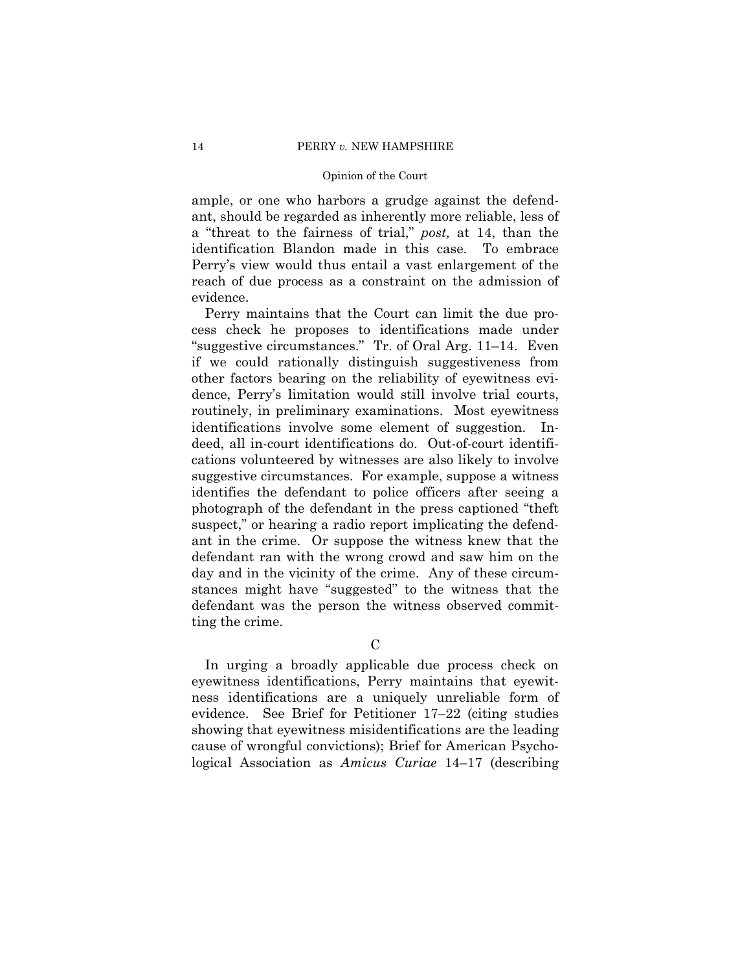ample, or one who harbors a grudge against the defendant, should be regarded as inherently more reliable, less of a "threat to the fairness of trial," *post,* at 14, than the identification Blandon made in this case. To embrace Perry's view would thus entail a vast enlargement of the reach of due process as a constraint on the admission of evidence.

Perry maintains that the Court can limit the due process check he proposes to identifications made under "suggestive circumstances." Tr. of Oral Arg. 11–14. Even if we could rationally distinguish suggestiveness from other factors bearing on the reliability of eyewitness evidence, Perry's limitation would still involve trial courts, routinely, in preliminary examinations. Most eyewitness identifications involve some element of suggestion. Indeed, all in-court identifications do. Out-of-court identifications volunteered by witnesses are also likely to involve suggestive circumstances. For example, suppose a witness identifies the defendant to police officers after seeing a photograph of the defendant in the press captioned "theft suspect," or hearing a radio report implicating the defendant in the crime. Or suppose the witness knew that the defendant ran with the wrong crowd and saw him on the day and in the vicinity of the crime. Any of these circumstances might have "suggested" to the witness that the defendant was the person the witness observed committing the crime.

 $\mathcal{C}$ 

In urging a broadly applicable due process check on eyewitness identifications, Perry maintains that eyewitness identifications are a uniquely unreliable form of evidence. See Brief for Petitioner 17–22 (citing studies showing that eyewitness misidentifications are the leading cause of wrongful convictions); Brief for American Psychological Association as *Amicus Curiae* 14–17 (describing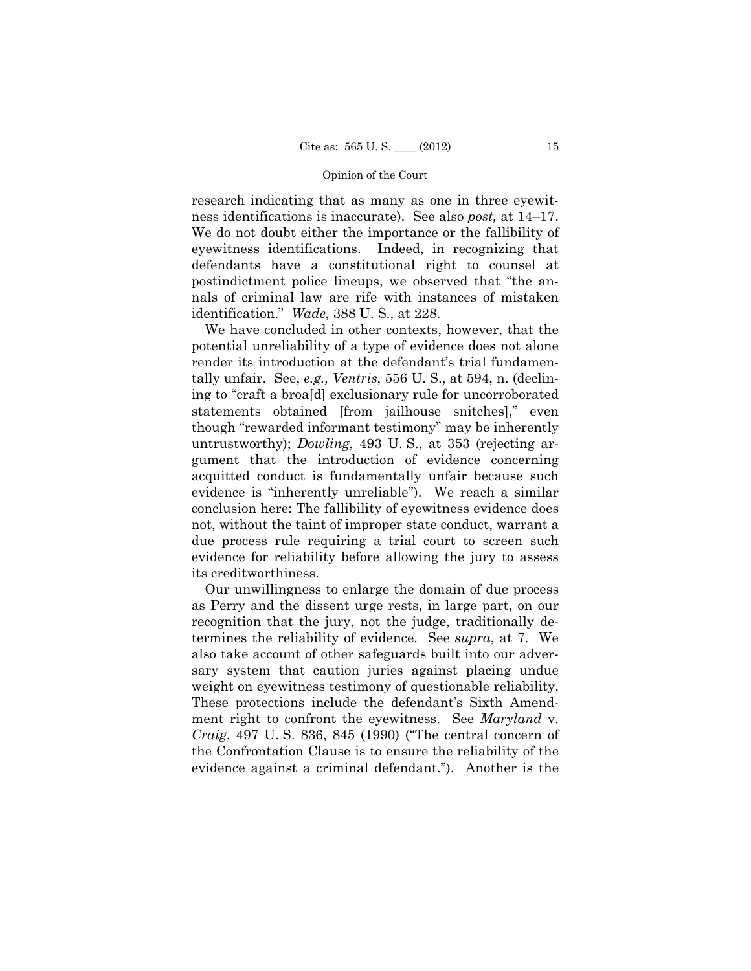research indicating that as many as one in three eyewitness identifications is inaccurate). See also *post,* at 14–17. We do not doubt either the importance or the fallibility of eyewitness identifications. Indeed, in recognizing that defendants have a constitutional right to counsel at postindictment police lineups, we observed that "the annals of criminal law are rife with instances of mistaken identification." *Wade*, 388 U. S., at 228.

We have concluded in other contexts, however, that the potential unreliability of a type of evidence does not alone render its introduction at the defendant's trial fundamentally unfair. See, *e.g., Ventris*, 556 U. S., at 594, n. (declining to "craft a broa[d] exclusionary rule for uncorroborated statements obtained [from jailhouse snitches]," even though "rewarded informant testimony" may be inherently untrustworthy); *Dowling*, 493 U. S., at 353 (rejecting argument that the introduction of evidence concerning acquitted conduct is fundamentally unfair because such evidence is "inherently unreliable"). We reach a similar conclusion here: The fallibility of eyewitness evidence does not, without the taint of improper state conduct, warrant a due process rule requiring a trial court to screen such evidence for reliability before allowing the jury to assess its creditworthiness.

Our unwillingness to enlarge the domain of due process as Perry and the dissent urge rests, in large part, on our recognition that the jury, not the judge, traditionally determines the reliability of evidence. See *supra*, at 7. We also take account of other safeguards built into our adversary system that caution juries against placing undue weight on eyewitness testimony of questionable reliability. These protections include the defendant's Sixth Amendment right to confront the eyewitness. See *Maryland* v. *Craig*, 497 U. S. 836, 845 (1990) ("The central concern of the Confrontation Clause is to ensure the reliability of the evidence against a criminal defendant."). Another is the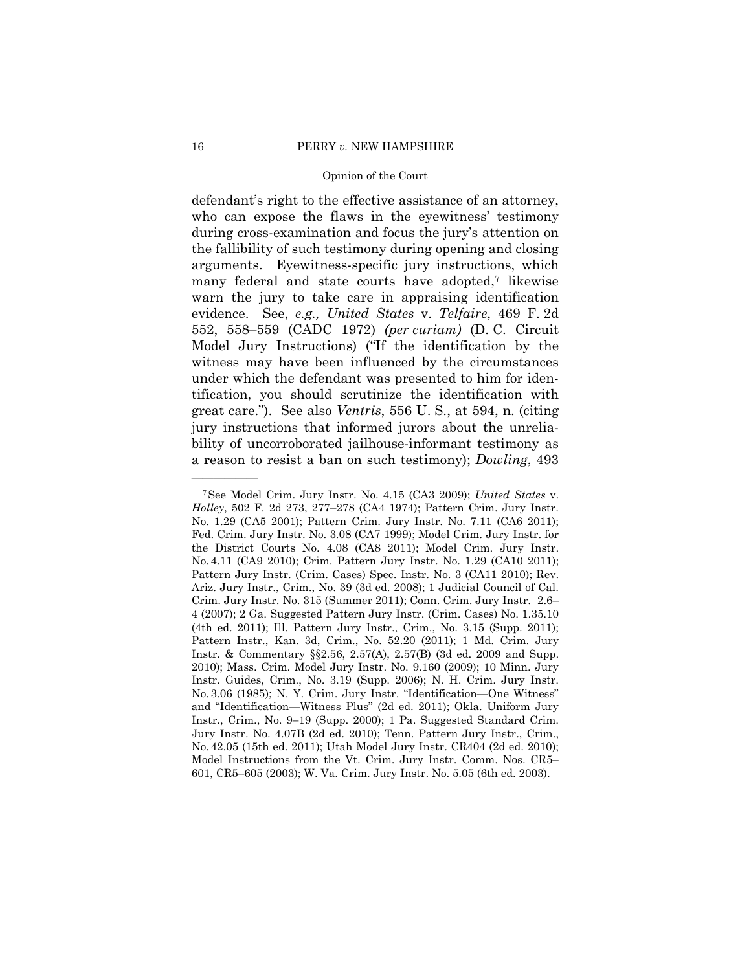defendant's right to the effective assistance of an attorney, who can expose the flaws in the eyewitness' testimony during cross-examination and focus the jury's attention on the fallibility of such testimony during opening and closing arguments. Eyewitness-specific jury instructions, which many federal and state courts have adopted,<sup>7</sup> likewise warn the jury to take care in appraising identification evidence. See, *e.g., United States* v. *Telfaire*, 469 F. 2d 552, 558–559 (CADC 1972) *(per curiam)* (D. C. Circuit Model Jury Instructions) ("If the identification by the witness may have been influenced by the circumstances under which the defendant was presented to him for identification, you should scrutinize the identification with great care."). See also *Ventris*, 556 U. S., at 594, n. (citing jury instructions that informed jurors about the unreliability of uncorroborated jailhouse-informant testimony as a reason to resist a ban on such testimony); *Dowling*, 493

<sup>7</sup>See Model Crim. Jury Instr. No. 4.15 (CA3 2009); *United States* v. *Holley*, 502 F. 2d 273, 277–278 (CA4 1974); Pattern Crim. Jury Instr. No. 1.29 (CA5 2001); Pattern Crim. Jury Instr. No. 7.11 (CA6 2011); Fed. Crim. Jury Instr. No. 3.08 (CA7 1999); Model Crim. Jury Instr. for the District Courts No. 4.08 (CA8 2011); Model Crim. Jury Instr. No. 4.11 (CA9 2010); Crim. Pattern Jury Instr. No. 1.29 (CA10 2011); Pattern Jury Instr. (Crim. Cases) Spec. Instr. No. 3 (CA11 2010); Rev. Ariz. Jury Instr., Crim., No. 39 (3d ed. 2008); 1 Judicial Council of Cal. Crim. Jury Instr. No. 315 (Summer 2011); Conn. Crim. Jury Instr. 2.6– 4 (2007); 2 Ga. Suggested Pattern Jury Instr. (Crim. Cases) No. 1.35.10 (4th ed. 2011); Ill. Pattern Jury Instr., Crim., No. 3.15 (Supp. 2011); Pattern Instr., Kan. 3d, Crim., No. 52.20 (2011); 1 Md. Crim. Jury Instr. & Commentary §§2.56, 2.57(A), 2.57(B) (3d ed. 2009 and Supp. 2010); Mass. Crim. Model Jury Instr. No. 9.160 (2009); 10 Minn. Jury Instr. Guides, Crim., No. 3.19 (Supp. 2006); N. H. Crim. Jury Instr. No. 3.06 (1985); N. Y. Crim. Jury Instr. "Identification—One Witness" and "Identification—Witness Plus" (2d ed. 2011); Okla. Uniform Jury Instr., Crim., No. 9–19 (Supp. 2000); 1 Pa. Suggested Standard Crim. Jury Instr. No. 4.07B (2d ed. 2010); Tenn. Pattern Jury Instr., Crim., No. 42.05 (15th ed. 2011); Utah Model Jury Instr. CR404 (2d ed. 2010); Model Instructions from the Vt. Crim. Jury Instr. Comm. Nos. CR5– 601, CR5–605 (2003); W. Va. Crim. Jury Instr. No. 5.05 (6th ed. 2003).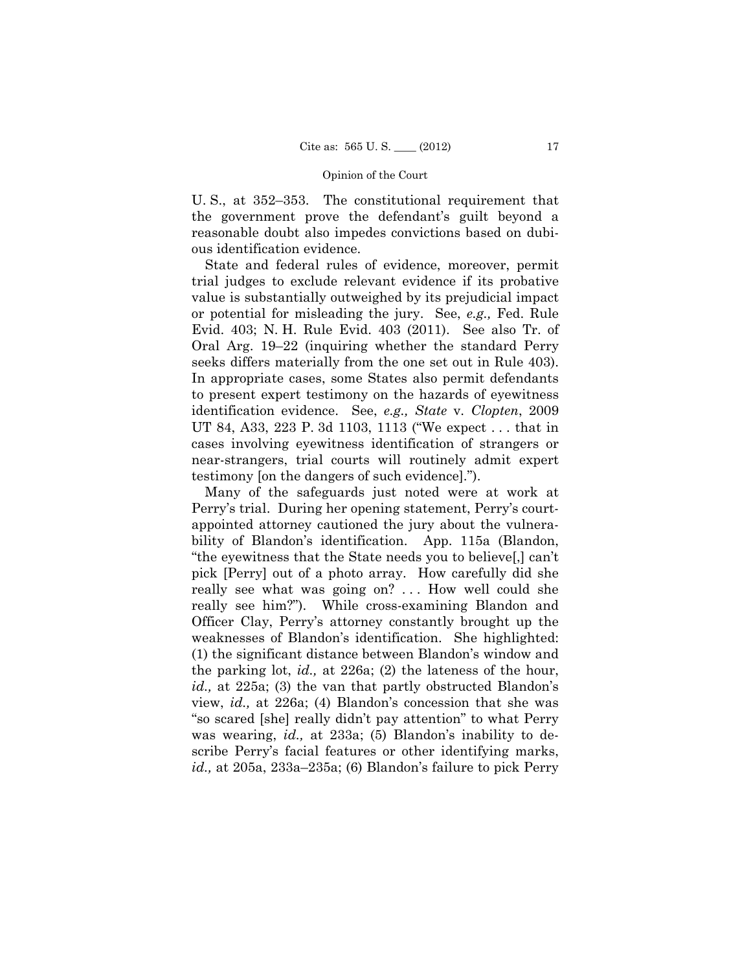U. S., at 352–353. The constitutional requirement that the government prove the defendant's guilt beyond a reasonable doubt also impedes convictions based on dubious identification evidence.

State and federal rules of evidence, moreover, permit trial judges to exclude relevant evidence if its probative value is substantially outweighed by its prejudicial impact or potential for misleading the jury. See, *e.g.,* Fed. Rule Evid. 403; N. H. Rule Evid. 403 (2011). See also Tr. of Oral Arg. 19–22 (inquiring whether the standard Perry seeks differs materially from the one set out in Rule 403). In appropriate cases, some States also permit defendants to present expert testimony on the hazards of eyewitness identification evidence. See, *e.g., State* v. *Clopten*, 2009 UT 84, A33, 223 P. 3d 1103, 1113 ("We expect . . . that in cases involving eyewitness identification of strangers or near-strangers, trial courts will routinely admit expert testimony [on the dangers of such evidence].").

Many of the safeguards just noted were at work at Perry's trial. During her opening statement, Perry's courtappointed attorney cautioned the jury about the vulnerability of Blandon's identification. App. 115a (Blandon, "the eyewitness that the State needs you to believe[,] can't pick [Perry] out of a photo array. How carefully did she really see what was going on? ... How well could she really see him?"). While cross-examining Blandon and Officer Clay, Perry's attorney constantly brought up the weaknesses of Blandon's identification. She highlighted: (1) the significant distance between Blandon's window and the parking lot, *id.,* at 226a; (2) the lateness of the hour, *id.,* at 225a; (3) the van that partly obstructed Blandon's view, *id.,* at 226a; (4) Blandon's concession that she was "so scared [she] really didn't pay attention" to what Perry was wearing, *id.,* at 233a; (5) Blandon's inability to describe Perry's facial features or other identifying marks, *id.,* at 205a, 233a–235a; (6) Blandon's failure to pick Perry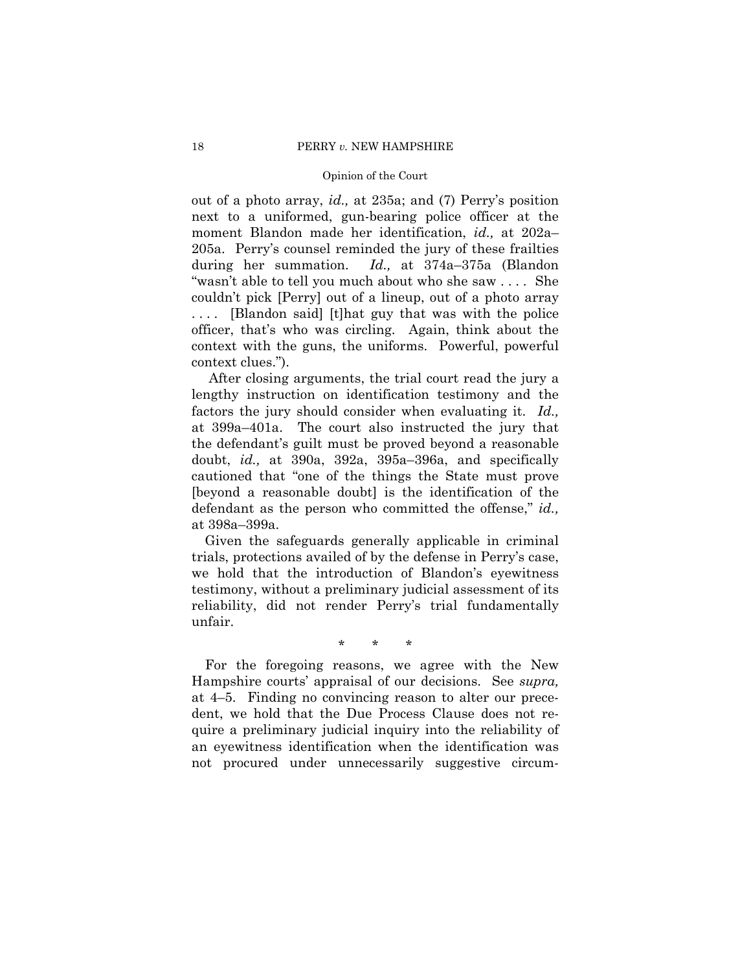out of a photo array, *id.,* at 235a; and (7) Perry's position next to a uniformed, gun-bearing police officer at the moment Blandon made her identification, *id.,* at 202a– 205a. Perry's counsel reminded the jury of these frailties during her summation. *Id.,* at 374a–375a (Blandon "wasn't able to tell you much about who she saw . . . . She couldn't pick [Perry] out of a lineup, out of a photo array . . . . [Blandon said] [t]hat guy that was with the police officer, that's who was circling. Again, think about the context with the guns, the uniforms. Powerful, powerful context clues.").

 factors the jury should consider when evaluating it. *Id.,*  After closing arguments, the trial court read the jury a lengthy instruction on identification testimony and the at 399a–401a. The court also instructed the jury that the defendant's guilt must be proved beyond a reasonable doubt, *id.,* at 390a, 392a, 395a–396a, and specifically cautioned that "one of the things the State must prove [beyond a reasonable doubt] is the identification of the defendant as the person who committed the offense," *id.,*  at 398a–399a.

Given the safeguards generally applicable in criminal trials, protections availed of by the defense in Perry's case, we hold that the introduction of Blandon's eyewitness testimony, without a preliminary judicial assessment of its reliability, did not render Perry's trial fundamentally unfair.

\* \* \*

For the foregoing reasons, we agree with the New Hampshire courts' appraisal of our decisions. See *supra,*  at 4–5. Finding no convincing reason to alter our precedent, we hold that the Due Process Clause does not require a preliminary judicial inquiry into the reliability of an eyewitness identification when the identification was not procured under unnecessarily suggestive circum-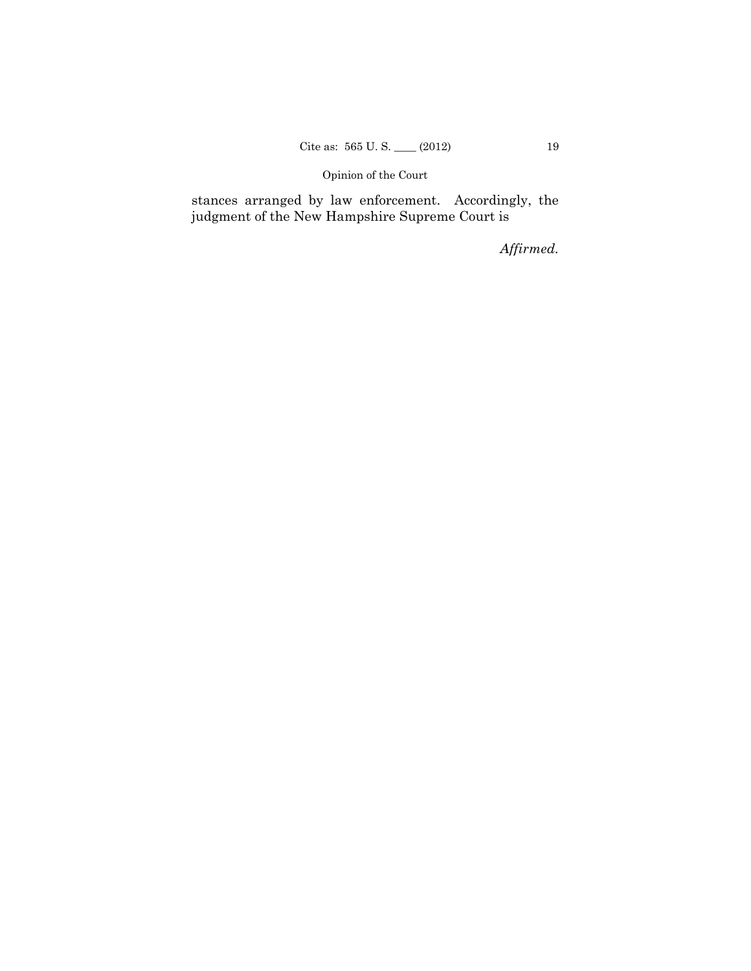stances arranged by law enforcement. Accordingly, the judgment of the New Hampshire Supreme Court is

*Affirmed.*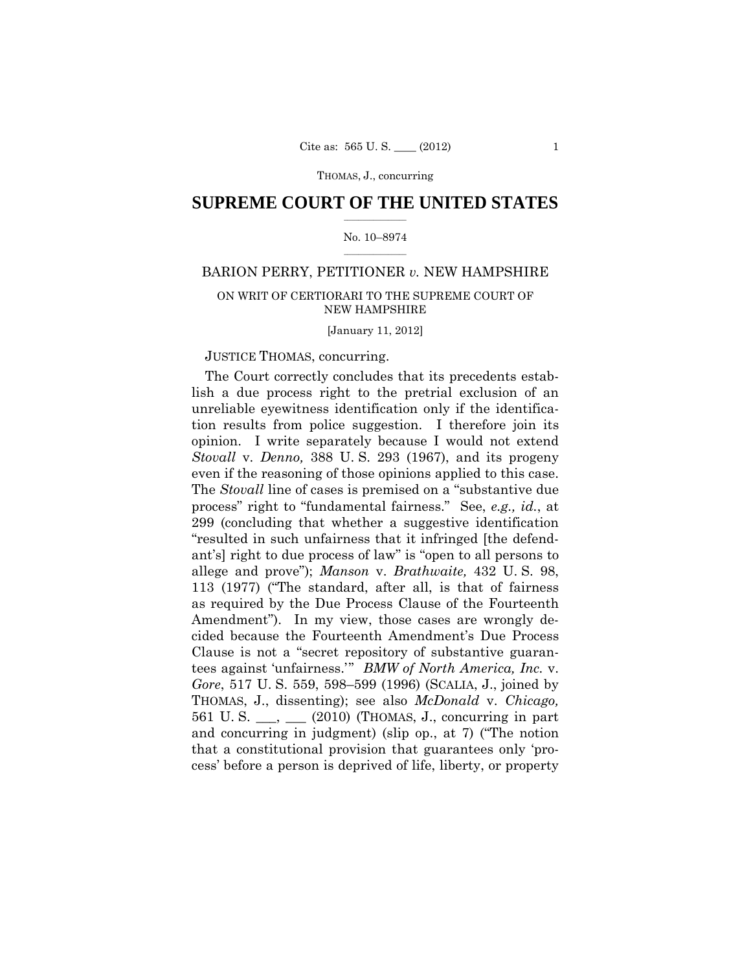THOMAS, J., concurring

## $\frac{1}{2}$  ,  $\frac{1}{2}$  ,  $\frac{1}{2}$  ,  $\frac{1}{2}$  ,  $\frac{1}{2}$  ,  $\frac{1}{2}$  ,  $\frac{1}{2}$ **SUPREME COURT OF THE UNITED STATES**

#### $\frac{1}{2}$  ,  $\frac{1}{2}$  ,  $\frac{1}{2}$  ,  $\frac{1}{2}$  ,  $\frac{1}{2}$  ,  $\frac{1}{2}$ No. 10–8974

### BARION PERRY, PETITIONER *v.* NEW HAMPSHIRE

## ON WRIT OF CERTIORARI TO THE SUPREME COURT OF NEW HAMPSHIRE

[January 11, 2012]

## JUSTICE THOMAS, concurring.

 *Gore*, 517 U. S. 559, 598–599 (1996) (SCALIA, J., joined by THOMAS, J., dissenting); see also *McDonald* v. *Chicago,*  561 U. S. \_\_\_, \_\_\_ (2010) (THOMAS, J., concurring in part The Court correctly concludes that its precedents establish a due process right to the pretrial exclusion of an unreliable eyewitness identification only if the identification results from police suggestion. I therefore join its opinion. I write separately because I would not extend *Stovall* v. *Denno,* 388 U. S. 293 (1967), and its progeny even if the reasoning of those opinions applied to this case. The *Stovall* line of cases is premised on a "substantive due process" right to "fundamental fairness." See, *e.g., id.*, at 299 (concluding that whether a suggestive identification "resulted in such unfairness that it infringed [the defendant's] right to due process of law" is "open to all persons to allege and prove"); *Manson* v. *Brathwaite,* 432 U. S. 98, 113 (1977) ("The standard, after all, is that of fairness as required by the Due Process Clause of the Fourteenth Amendment"). In my view, those cases are wrongly decided because the Fourteenth Amendment's Due Process Clause is not a "secret repository of substantive guarantees against 'unfairness.'" *BMW of North America, Inc.* v. and concurring in judgment) (slip op., at 7) ("The notion that a constitutional provision that guarantees only 'process' before a person is deprived of life, liberty, or property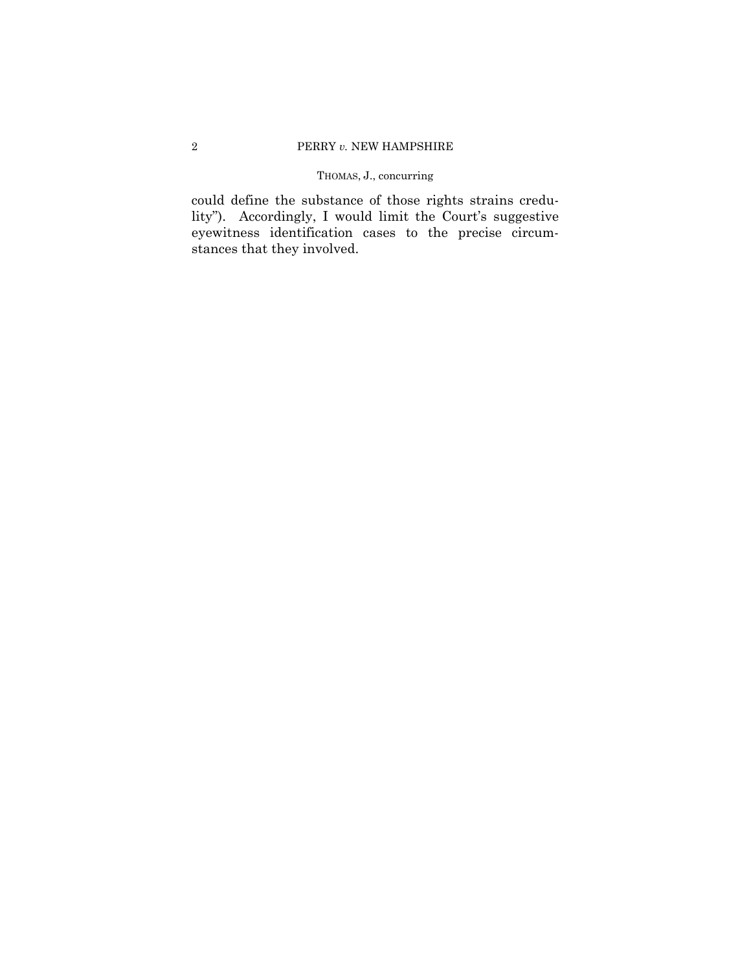## THOMAS, J., concurring

could define the substance of those rights strains credulity"). Accordingly, I would limit the Court's suggestive eyewitness identification cases to the precise circumstances that they involved.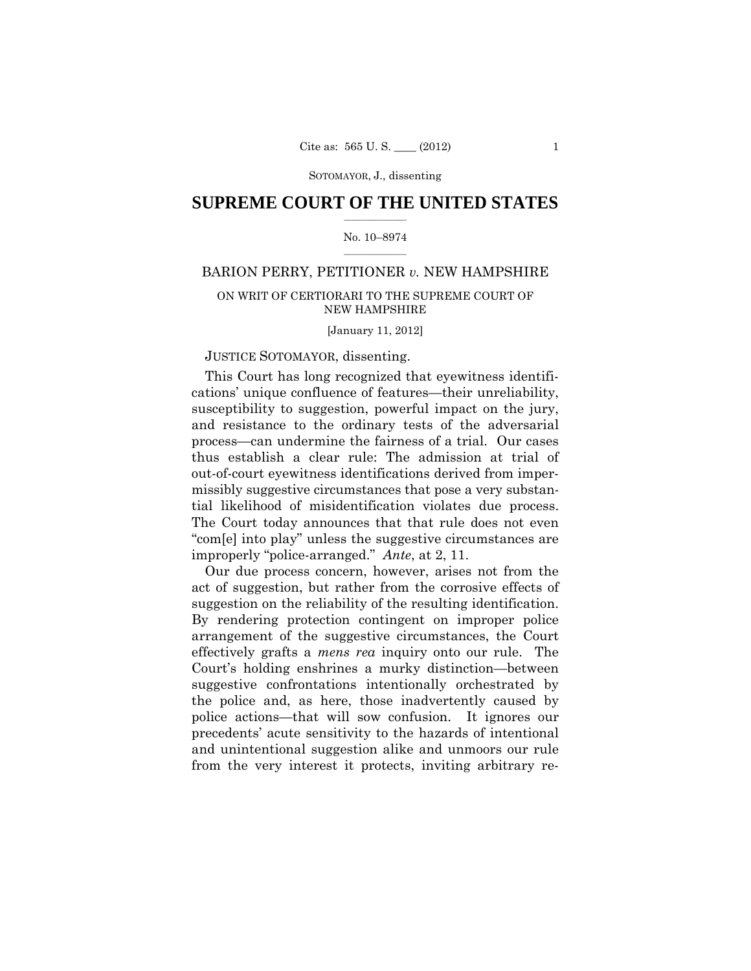## $\frac{1}{2}$  ,  $\frac{1}{2}$  ,  $\frac{1}{2}$  ,  $\frac{1}{2}$  ,  $\frac{1}{2}$  ,  $\frac{1}{2}$  ,  $\frac{1}{2}$ **SUPREME COURT OF THE UNITED STATES**

#### $\frac{1}{2}$  ,  $\frac{1}{2}$  ,  $\frac{1}{2}$  ,  $\frac{1}{2}$  ,  $\frac{1}{2}$  ,  $\frac{1}{2}$ No. 10–8974

## BARION PERRY, PETITIONER *v.* NEW HAMPSHIRE

## ON WRIT OF CERTIORARI TO THE SUPREME COURT OF NEW HAMPSHIRE

[January 11, 2012]

# JUSTICE SOTOMAYOR, dissenting.

 thus establish a clear rule: The admission at trial of out-of-court eyewitness identifications derived from imper- tial likelihood of misidentification violates due process. This Court has long recognized that eyewitness identifications' unique confluence of features—their unreliability, susceptibility to suggestion, powerful impact on the jury, and resistance to the ordinary tests of the adversarial process—can undermine the fairness of a trial. Our cases missibly suggestive circumstances that pose a very substan-The Court today announces that that rule does not even "com[e] into play" unless the suggestive circumstances are improperly "police-arranged." *Ante*, at 2, 11.

Our due process concern, however, arises not from the act of suggestion, but rather from the corrosive effects of suggestion on the reliability of the resulting identification. By rendering protection contingent on improper police arrangement of the suggestive circumstances, the Court effectively grafts a *mens rea* inquiry onto our rule. The Court's holding enshrines a murky distinction—between suggestive confrontations intentionally orchestrated by the police and, as here, those inadvertently caused by police actions—that will sow confusion. It ignores our precedents' acute sensitivity to the hazards of intentional and unintentional suggestion alike and unmoors our rule from the very interest it protects, inviting arbitrary re-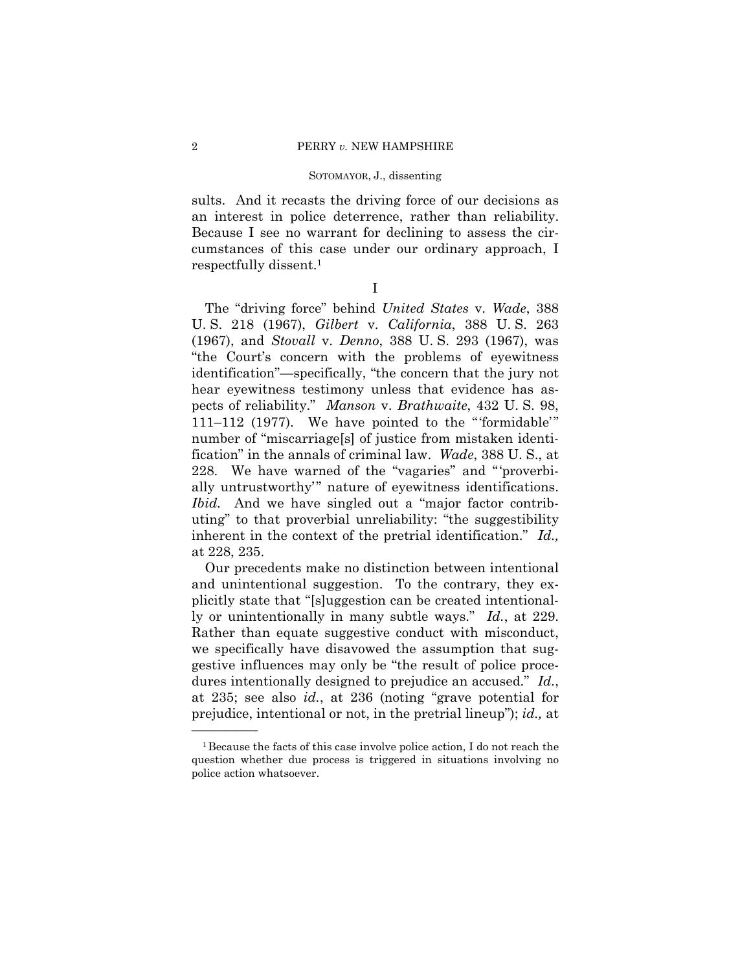sults. And it recasts the driving force of our decisions as an interest in police deterrence, rather than reliability. Because I see no warrant for declining to assess the circumstances of this case under our ordinary approach, I respectfully dissent.1

I

 (1967), and *Stovall* v. *Denno*, 388 U. S. 293 (1967), was The "driving force" behind *United States* v. *Wade*, 388 U. S. 218 (1967), *Gilbert* v. *California*, 388 U. S. 263 "the Court's concern with the problems of eyewitness identification"—specifically, "the concern that the jury not hear eyewitness testimony unless that evidence has aspects of reliability." *Manson* v. *Brathwaite*, 432 U. S. 98, 111–112 (1977). We have pointed to the "'formidable'" number of "miscarriage[s] of justice from mistaken identification" in the annals of criminal law. *Wade*, 388 U. S., at 228. We have warned of the "vagaries" and "'proverbially untrustworthy'" nature of eyewitness identifications. *Ibid.* And we have singled out a "major factor contributing" to that proverbial unreliability: "the suggestibility inherent in the context of the pretrial identification." *Id.,*  at 228, 235.

Our precedents make no distinction between intentional and unintentional suggestion. To the contrary, they explicitly state that "[s]uggestion can be created intentionally or unintentionally in many subtle ways." *Id.*, at 229. Rather than equate suggestive conduct with misconduct, we specifically have disavowed the assumption that suggestive influences may only be "the result of police procedures intentionally designed to prejudice an accused." *Id.*, at 235; see also *id.*, at 236 (noting "grave potential for prejudice, intentional or not, in the pretrial lineup"); *id.,* at

<sup>1</sup>Because the facts of this case involve police action, I do not reach the question whether due process is triggered in situations involving no police action whatsoever.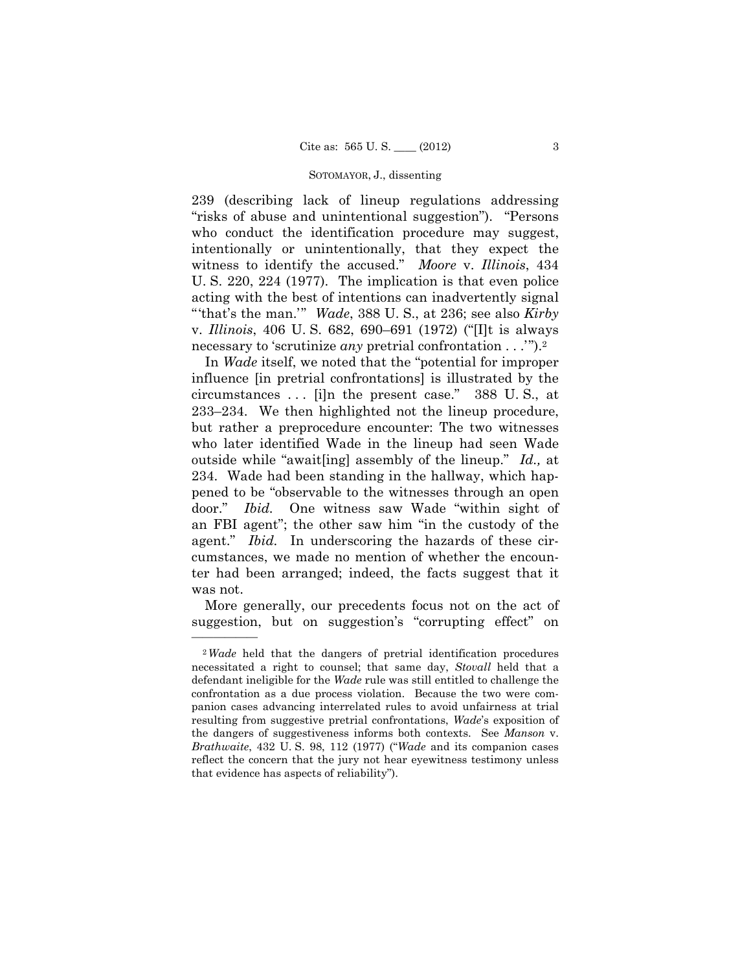239 (describing lack of lineup regulations addressing "risks of abuse and unintentional suggestion"). "Persons who conduct the identification procedure may suggest, intentionally or unintentionally, that they expect the witness to identify the accused." *Moore* v. *Illinois*, 434 U. S. 220, 224 (1977). The implication is that even police acting with the best of intentions can inadvertently signal "'that's the man.'" *Wade*, 388 U. S., at 236; see also *Kirby*  v. *Illinois*, 406 U. S. 682, 690–691 (1972) ("[I]t is always necessary to 'scrutinize *any* pretrial confrontation . . .'").2

 In *Wade* itself, we noted that the "potential for improper influence [in pretrial confrontations] is illustrated by the circumstances . . . [i]n the present case." 388 U. S., at 233–234. We then highlighted not the lineup procedure, but rather a preprocedure encounter: The two witnesses who later identified Wade in the lineup had seen Wade outside while "await[ing] assembly of the lineup." *Id.,* at 234. Wade had been standing in the hallway, which happened to be "observable to the witnesses through an open door." *Ibid.* One witness saw Wade "within sight of an FBI agent"; the other saw him "in the custody of the agent." *Ibid.* In underscoring the hazards of these circumstances, we made no mention of whether the encounter had been arranged; indeed, the facts suggest that it was not.

More generally, our precedents focus not on the act of suggestion, but on suggestion's "corrupting effect" on

 the dangers of suggestiveness informs both contexts. See *Manson* v. <sup>2</sup>*Wade* held that the dangers of pretrial identification procedures necessitated a right to counsel; that same day, *Stovall* held that a defendant ineligible for the *Wade* rule was still entitled to challenge the confrontation as a due process violation. Because the two were companion cases advancing interrelated rules to avoid unfairness at trial resulting from suggestive pretrial confrontations, *Wade*'s exposition of *Brathwaite*, 432 U. S. 98, 112 (1977) ("*Wade* and its companion cases reflect the concern that the jury not hear eyewitness testimony unless that evidence has aspects of reliability").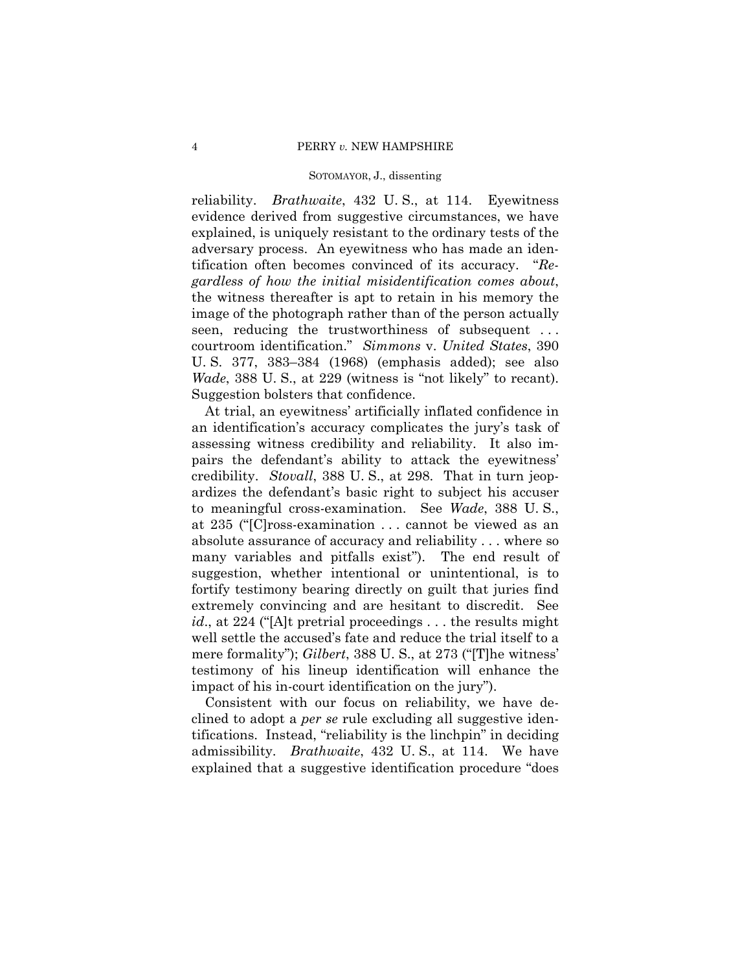reliability. *Brathwaite*, 432 U. S., at 114. Eyewitness evidence derived from suggestive circumstances, we have explained, is uniquely resistant to the ordinary tests of the adversary process. An eyewitness who has made an identification often becomes convinced of its accuracy. "*Regardless of how the initial misidentification comes about*, the witness thereafter is apt to retain in his memory the image of the photograph rather than of the person actually seen, reducing the trustworthiness of subsequent ... courtroom identification." *Simmons* v. *United States*, 390 U. S. 377, 383–384 (1968) (emphasis added); see also *Wade*, 388 U.S., at 229 (witness is "not likely" to recant). Suggestion bolsters that confidence.

to meaningful cross-examination. See Wade, 388 U.S., At trial, an eyewitness' artificially inflated confidence in an identification's accuracy complicates the jury's task of assessing witness credibility and reliability. It also impairs the defendant's ability to attack the eyewitness' credibility. *Stovall*, 388 U. S., at 298. That in turn jeopardizes the defendant's basic right to subject his accuser at 235 ("[C]ross-examination . . . cannot be viewed as an absolute assurance of accuracy and reliability . . . where so many variables and pitfalls exist"). The end result of suggestion, whether intentional or unintentional, is to fortify testimony bearing directly on guilt that juries find extremely convincing and are hesitant to discredit. See *id*., at 224 ("[A]t pretrial proceedings . . . the results might well settle the accused's fate and reduce the trial itself to a mere formality"); *Gilbert*, 388 U. S., at 273 ("[T]he witness' testimony of his lineup identification will enhance the impact of his in-court identification on the jury").

Consistent with our focus on reliability, we have declined to adopt a *per se* rule excluding all suggestive identifications. Instead, "reliability is the linchpin" in deciding admissibility. *Brathwaite*, 432 U. S., at 114. We have explained that a suggestive identification procedure "does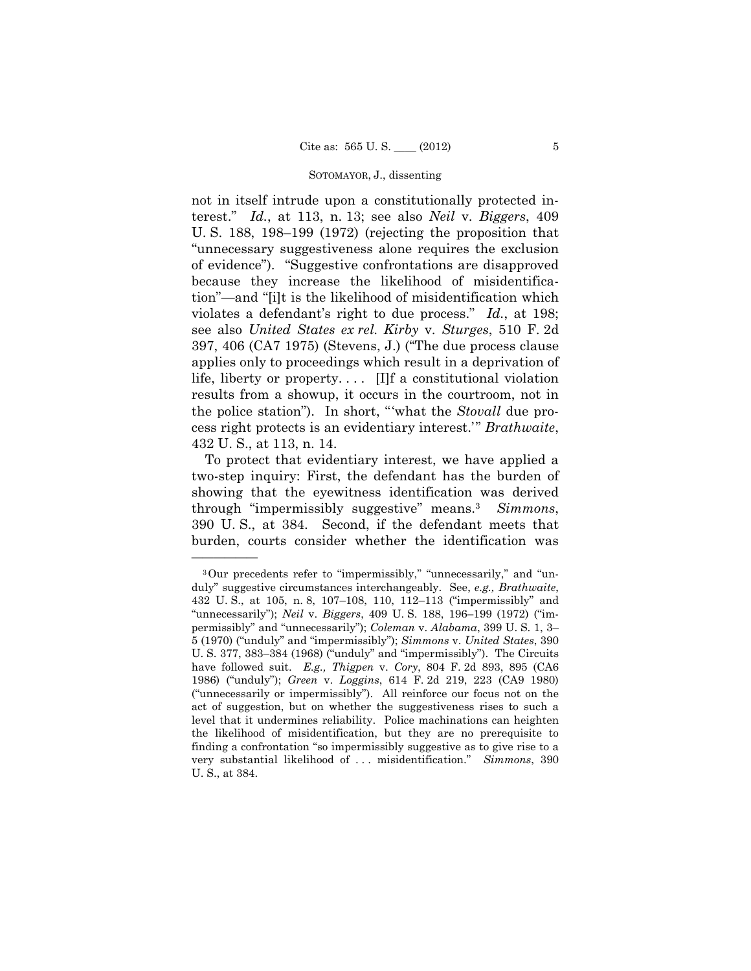not in itself intrude upon a constitutionally protected interest." *Id.*, at 113, n. 13; see also *Neil* v. *Biggers*, 409 U. S. 188, 198–199 (1972) (rejecting the proposition that "unnecessary suggestiveness alone requires the exclusion of evidence"). "Suggestive confrontations are disapproved because they increase the likelihood of misidentification"—and "[i]t is the likelihood of misidentification which violates a defendant's right to due process." *Id.*, at 198; see also *United States ex rel. Kirby* v. *Sturges*, 510 F. 2d 397, 406 (CA7 1975) (Stevens, J.) ("The due process clause applies only to proceedings which result in a deprivation of life, liberty or property.... [I]f a constitutional violation results from a showup, it occurs in the courtroom, not in the police station"). In short, "'what the *Stovall* due process right protects is an evidentiary interest.'" *Brathwaite*, 432 U. S., at 113, n. 14.

 through "impermissibly suggestive" means.3 *Simmons*, To protect that evidentiary interest, we have applied a two-step inquiry: First, the defendant has the burden of showing that the eyewitness identification was derived 390 U. S., at 384. Second, if the defendant meets that burden, courts consider whether the identification was

<sup>3</sup>Our precedents refer to "impermissibly," "unnecessarily," and "unduly" suggestive circumstances interchangeably. See, *e.g., Brathwaite*, 432 U. S., at 105, n. 8, 107–108, 110, 112–113 ("impermissibly" and "unnecessarily"); *Neil* v. *Biggers*, 409 U. S. 188, 196–199 (1972) ("impermissibly" and "unnecessarily"); *Coleman* v. *Alabama*, 399 U. S. 1, 3– 5 (1970) ("unduly" and "impermissibly"); *Simmons* v. *United States*, 390 U. S. 377, 383–384 (1968) ("unduly" and "impermissibly"). The Circuits have followed suit. *E.g., Thigpen* v. *Cory*, 804 F. 2d 893, 895 (CA6 1986) ("unduly"); *Green* v. *Loggins*, 614 F. 2d 219, 223 (CA9 1980) ("unnecessarily or impermissibly"). All reinforce our focus not on the act of suggestion, but on whether the suggestiveness rises to such a level that it undermines reliability. Police machinations can heighten the likelihood of misidentification, but they are no prerequisite to finding a confrontation "so impermissibly suggestive as to give rise to a very substantial likelihood of . . . misidentification." *Simmons*, 390 U. S., at 384.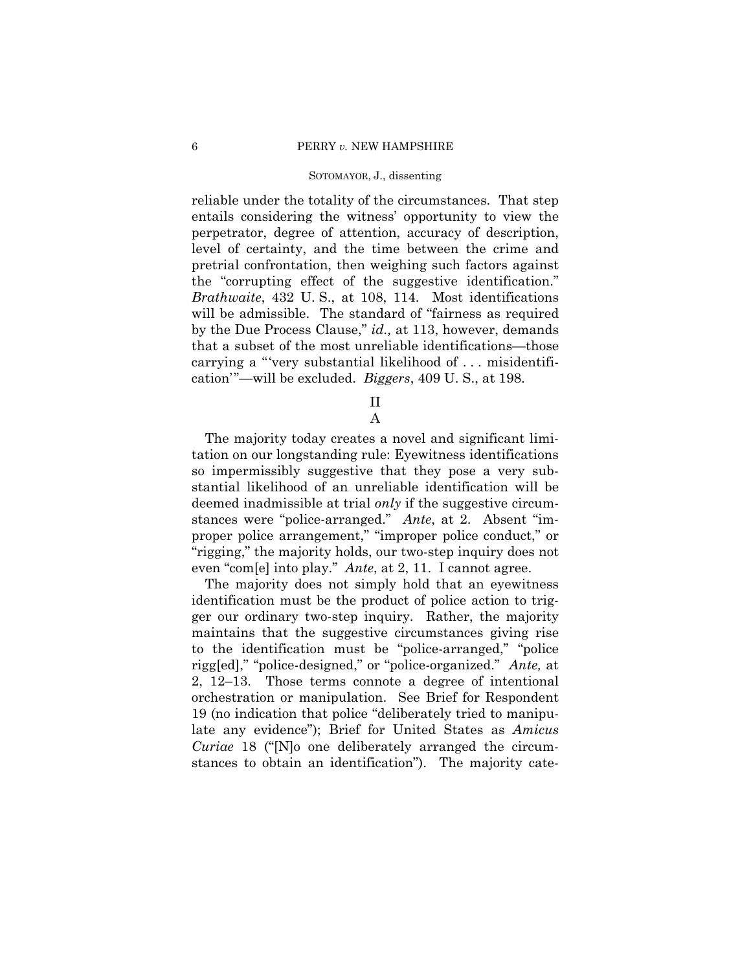*Brathwaite*, 432 U. S., at 108, 114. Most identifications reliable under the totality of the circumstances. That step entails considering the witness' opportunity to view the perpetrator, degree of attention, accuracy of description, level of certainty, and the time between the crime and pretrial confrontation, then weighing such factors against the "corrupting effect of the suggestive identification." will be admissible. The standard of "fairness as required" by the Due Process Clause," *id.,* at 113, however, demands that a subset of the most unreliable identifications—those carrying a "'very substantial likelihood of . . . misidentification'"—will be excluded. *Biggers*, 409 U. S., at 198.

> II A

 stances were "police-arranged." *Ante*, at 2. Absent "im-The majority today creates a novel and significant limitation on our longstanding rule: Eyewitness identifications so impermissibly suggestive that they pose a very substantial likelihood of an unreliable identification will be deemed inadmissible at trial *only* if the suggestive circumproper police arrangement," "improper police conduct," or "rigging," the majority holds, our two-step inquiry does not even "com[e] into play." *Ante*, at 2, 11. I cannot agree.

 maintains that the suggestive circumstances giving rise The majority does not simply hold that an eyewitness identification must be the product of police action to trigger our ordinary two-step inquiry. Rather, the majority to the identification must be "police-arranged," "police rigg[ed]," "police-designed," or "police-organized." *Ante,* at 2, 12–13. Those terms connote a degree of intentional orchestration or manipulation. See Brief for Respondent 19 (no indication that police "deliberately tried to manipulate any evidence"); Brief for United States as *Amicus Curiae* 18 ("[N]o one deliberately arranged the circumstances to obtain an identification"). The majority cate-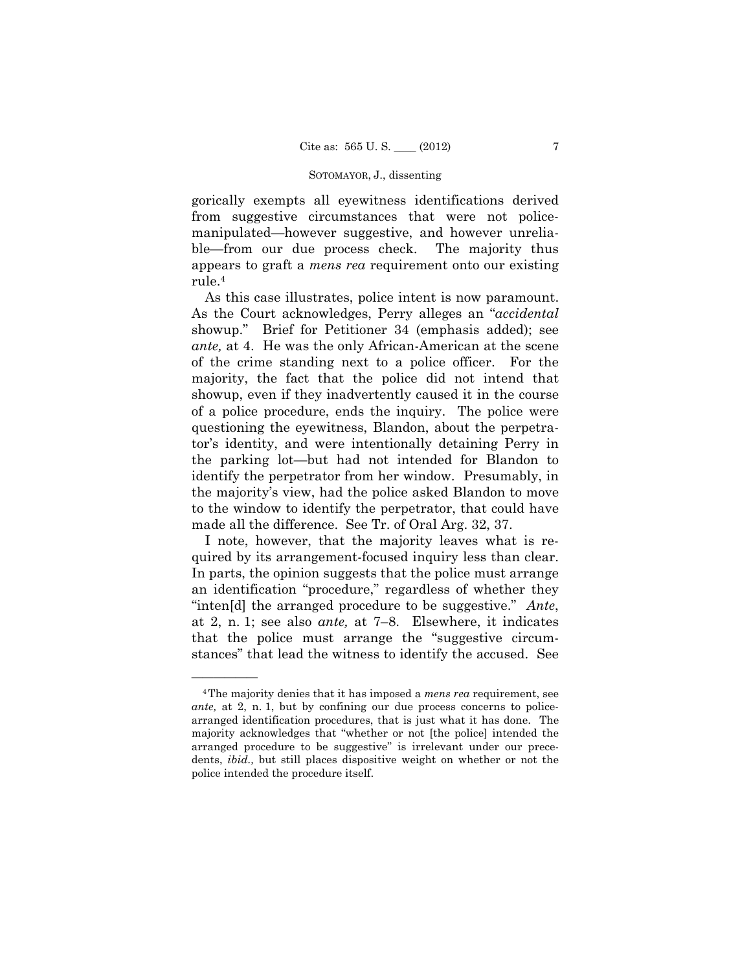gorically exempts all eyewitness identifications derived from suggestive circumstances that were not policemanipulated—however suggestive, and however unreliable—from our due process check. The majority thus appears to graft a *mens rea* requirement onto our existing rule.4

ante, at 4. He was the only African-American at the scene As this case illustrates, police intent is now paramount. As the Court acknowledges, Perry alleges an "*accidental*  showup." Brief for Petitioner 34 (emphasis added); see of the crime standing next to a police officer. For the majority, the fact that the police did not intend that showup, even if they inadvertently caused it in the course of a police procedure, ends the inquiry. The police were questioning the eyewitness, Blandon, about the perpetrator's identity, and were intentionally detaining Perry in the parking lot—but had not intended for Blandon to identify the perpetrator from her window. Presumably, in the majority's view, had the police asked Blandon to move to the window to identify the perpetrator, that could have made all the difference. See Tr. of Oral Arg. 32, 37.

I note, however, that the majority leaves what is required by its arrangement-focused inquiry less than clear. In parts, the opinion suggests that the police must arrange an identification "procedure," regardless of whether they "inten[d] the arranged procedure to be suggestive." *Ante*, at 2, n. 1; see also *ante,* at 7–8. Elsewhere, it indicates that the police must arrange the "suggestive circumstances" that lead the witness to identify the accused. See

<sup>4</sup>The majority denies that it has imposed a *mens rea* requirement, see *ante,* at 2, n. 1, but by confining our due process concerns to policearranged identification procedures, that is just what it has done. The majority acknowledges that "whether or not [the police] intended the arranged procedure to be suggestive" is irrelevant under our precedents, *ibid.,* but still places dispositive weight on whether or not the police intended the procedure itself.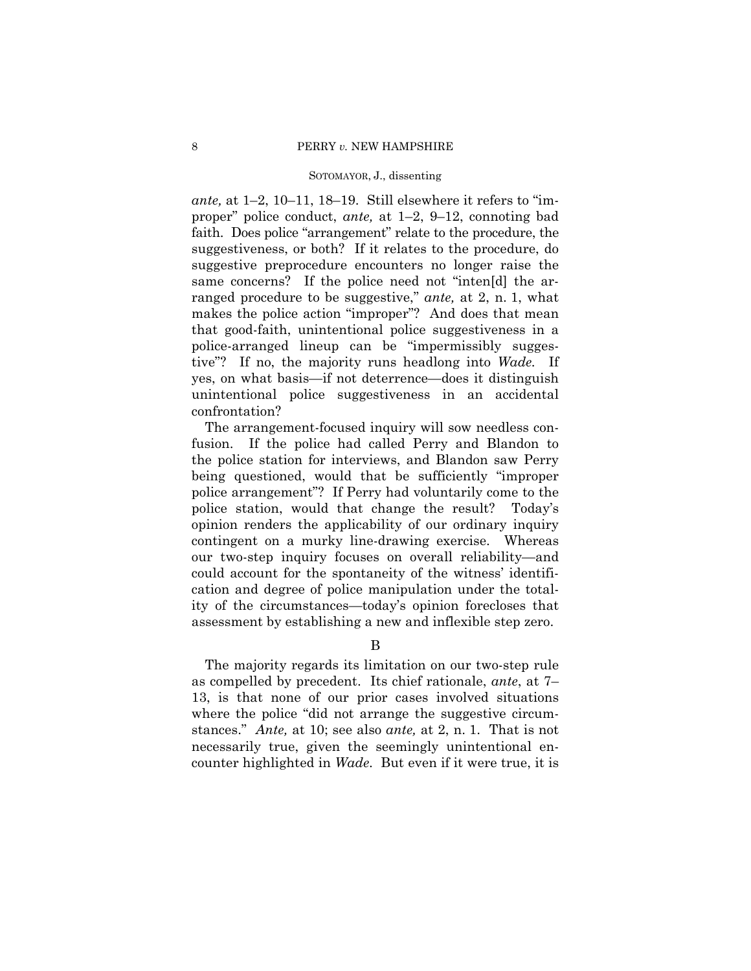makes the police action "improper"? And does that mean unintentional police suggestiveness in an accidental confrontation? *ante,* at 1–2, 10–11, 18–19. Still elsewhere it refers to "improper" police conduct, *ante,* at 1–2, 9–12, connoting bad faith. Does police "arrangement" relate to the procedure, the suggestiveness, or both? If it relates to the procedure, do suggestive preprocedure encounters no longer raise the same concerns? If the police need not "inten[d] the arranged procedure to be suggestive," *ante,* at 2, n. 1, what that good-faith, unintentional police suggestiveness in a police-arranged lineup can be "impermissibly suggestive"? If no, the majority runs headlong into *Wade.* If yes, on what basis—if not deterrence—does it distinguish

The arrangement-focused inquiry will sow needless confusion. If the police had called Perry and Blandon to the police station for interviews, and Blandon saw Perry being questioned, would that be sufficiently "improper police arrangement"? If Perry had voluntarily come to the police station, would that change the result? Today's opinion renders the applicability of our ordinary inquiry contingent on a murky line-drawing exercise. Whereas our two-step inquiry focuses on overall reliability—and could account for the spontaneity of the witness' identification and degree of police manipulation under the totality of the circumstances—today's opinion forecloses that assessment by establishing a new and inflexible step zero.

B

 stances." *Ante,* at 10; see also *ante,* at 2, n. 1. That is not The majority regards its limitation on our two-step rule as compelled by precedent. Its chief rationale, *ante*, at 7– 13, is that none of our prior cases involved situations where the police "did not arrange the suggestive circumnecessarily true, given the seemingly unintentional encounter highlighted in *Wade*. But even if it were true, it is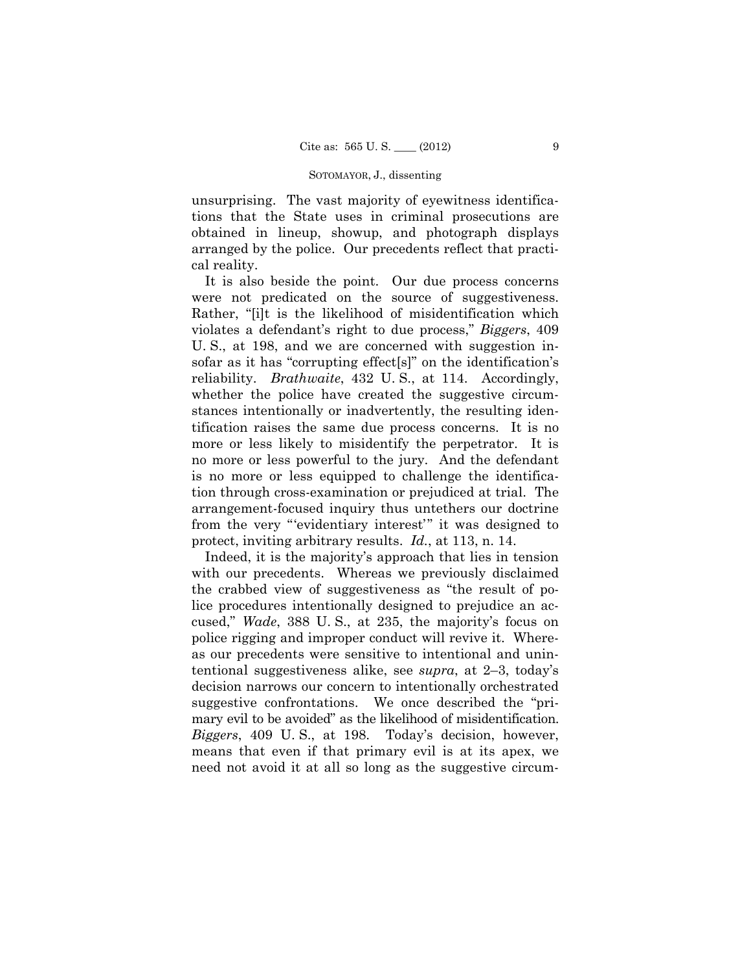unsurprising. The vast majority of eyewitness identifications that the State uses in criminal prosecutions are obtained in lineup, showup, and photograph displays arranged by the police. Our precedents reflect that practical reality.

It is also beside the point. Our due process concerns were not predicated on the source of suggestiveness. Rather, "[i]t is the likelihood of misidentification which violates a defendant's right to due process," *Biggers*, 409 U. S., at 198, and we are concerned with suggestion insofar as it has "corrupting effect[s]" on the identification's reliability. *Brathwaite*, 432 U. S., at 114. Accordingly, whether the police have created the suggestive circumstances intentionally or inadvertently, the resulting identification raises the same due process concerns. It is no more or less likely to misidentify the perpetrator. It is no more or less powerful to the jury. And the defendant is no more or less equipped to challenge the identification through cross-examination or prejudiced at trial. The arrangement-focused inquiry thus untethers our doctrine from the very "'evidentiary interest'" it was designed to protect, inviting arbitrary results. *Id.*, at 113, n. 14.

Indeed, it is the majority's approach that lies in tension with our precedents. Whereas we previously disclaimed the crabbed view of suggestiveness as "the result of police procedures intentionally designed to prejudice an accused," *Wade*, 388 U. S., at 235, the majority's focus on police rigging and improper conduct will revive it. Whereas our precedents were sensitive to intentional and unintentional suggestiveness alike, see *supra*, at 2–3, today's decision narrows our concern to intentionally orchestrated suggestive confrontations. We once described the "primary evil to be avoided" as the likelihood of misidentification. *Biggers*, 409 U. S., at 198. Today's decision, however, means that even if that primary evil is at its apex, we need not avoid it at all so long as the suggestive circum-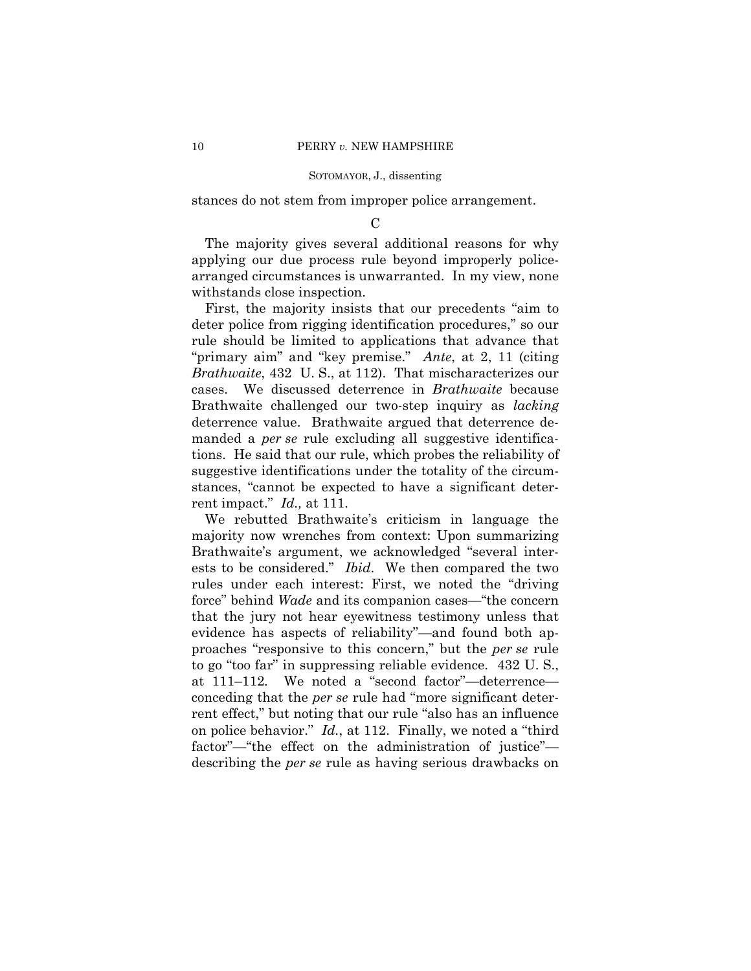stances do not stem from improper police arrangement.

 $\mathcal{C}$ 

The majority gives several additional reasons for why applying our due process rule beyond improperly policearranged circumstances is unwarranted. In my view, none withstands close inspection.

First, the majority insists that our precedents "aim to deter police from rigging identification procedures," so our rule should be limited to applications that advance that "primary aim" and "key premise." *Ante*, at 2, 11 (citing *Brathwaite*, 432 U. S., at 112). That mischaracterizes our cases. We discussed deterrence in *Brathwaite* because Brathwaite challenged our two-step inquiry as *lacking*  deterrence value. Brathwaite argued that deterrence demanded a *per se* rule excluding all suggestive identifications. He said that our rule, which probes the reliability of suggestive identifications under the totality of the circumstances, "cannot be expected to have a significant deterrent impact." *Id.,* at 111.

 on police behavior." *Id.*, at 112. Finally, we noted a "third We rebutted Brathwaite's criticism in language the majority now wrenches from context: Upon summarizing Brathwaite's argument, we acknowledged "several interests to be considered." *Ibid*. We then compared the two rules under each interest: First, we noted the "driving force" behind *Wade* and its companion cases—"the concern that the jury not hear eyewitness testimony unless that evidence has aspects of reliability"—and found both approaches "responsive to this concern," but the *per se* rule to go "too far" in suppressing reliable evidence. 432 U. S., at 111–112*.* We noted a "second factor"—deterrence conceding that the *per se* rule had "more significant deterrent effect," but noting that our rule "also has an influence factor"—"the effect on the administration of justice" describing the *per se* rule as having serious drawbacks on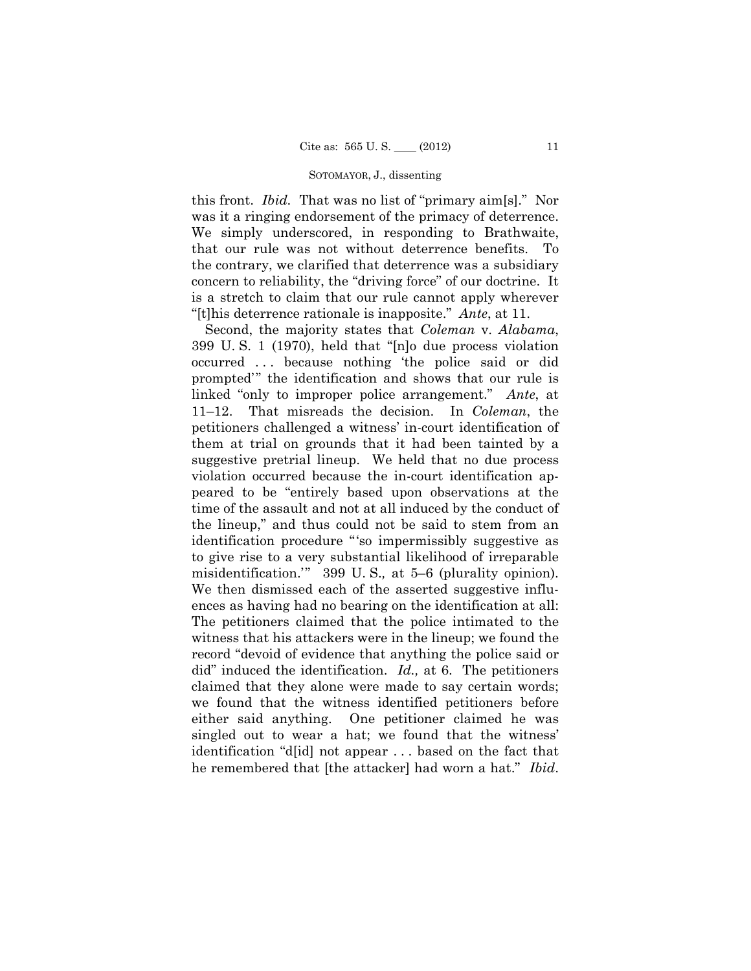this front. *Ibid.* That was no list of "primary aim[s]." Nor was it a ringing endorsement of the primacy of deterrence. We simply underscored, in responding to Brathwaite, that our rule was not without deterrence benefits. To the contrary, we clarified that deterrence was a subsidiary concern to reliability, the "driving force" of our doctrine. It is a stretch to claim that our rule cannot apply wherever "[t]his deterrence rationale is inapposite." *Ante*, at 11.

 peared to be "entirely based upon observations at the did" induced the identification. *Id.*, at 6. The petitioners Second, the majority states that *Coleman* v. *Alabama*, 399 U. S. 1 (1970), held that "[n]o due process violation occurred . . . because nothing 'the police said or did prompted'" the identification and shows that our rule is linked "only to improper police arrangement." *Ante*, at 11–12. That misreads the decision. In *Coleman*, the petitioners challenged a witness' in-court identification of them at trial on grounds that it had been tainted by a suggestive pretrial lineup. We held that no due process violation occurred because the in-court identification aptime of the assault and not at all induced by the conduct of the lineup," and thus could not be said to stem from an identification procedure "'so impermissibly suggestive as to give rise to a very substantial likelihood of irreparable misidentification.'" 399 U. S.*,* at 5–6 (plurality opinion). We then dismissed each of the asserted suggestive influences as having had no bearing on the identification at all: The petitioners claimed that the police intimated to the witness that his attackers were in the lineup; we found the record "devoid of evidence that anything the police said or claimed that they alone were made to say certain words; we found that the witness identified petitioners before either said anything. One petitioner claimed he was singled out to wear a hat; we found that the witness' identification "d[id] not appear . . . based on the fact that he remembered that [the attacker] had worn a hat." *Ibid*.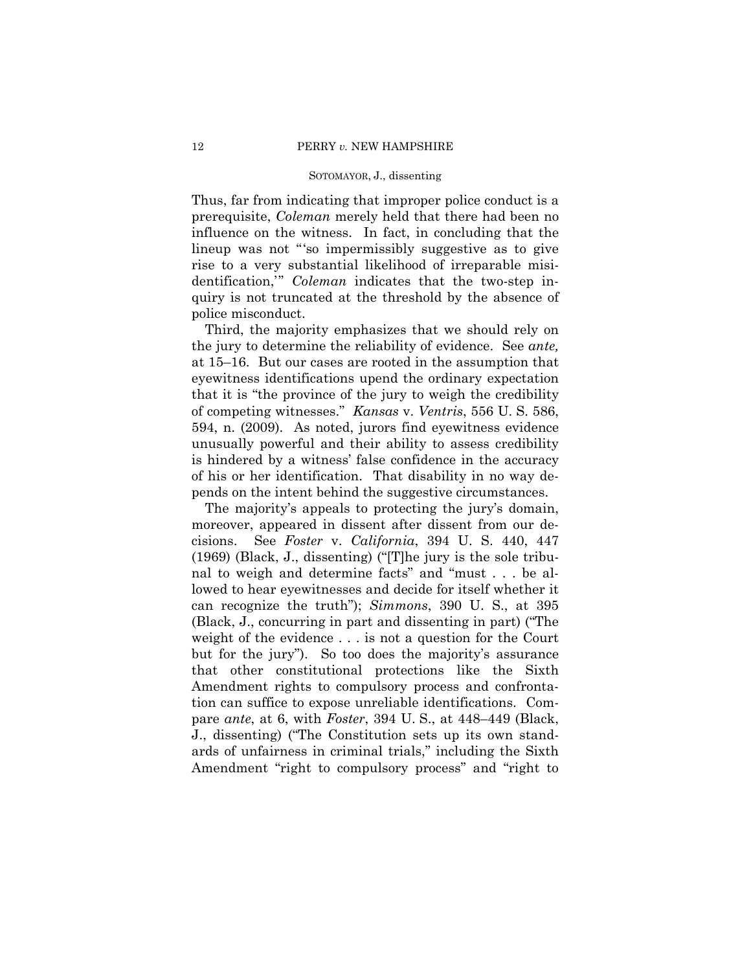Thus, far from indicating that improper police conduct is a prerequisite, *Coleman* merely held that there had been no influence on the witness. In fact, in concluding that the lineup was not "'so impermissibly suggestive as to give rise to a very substantial likelihood of irreparable misidentification,'" *Coleman* indicates that the two-step inquiry is not truncated at the threshold by the absence of police misconduct.

Third, the majority emphasizes that we should rely on the jury to determine the reliability of evidence. See *ante,*  at 15–16. But our cases are rooted in the assumption that eyewitness identifications upend the ordinary expectation that it is "the province of the jury to weigh the credibility of competing witnesses." *Kansas* v. *Ventris*, 556 U. S. 586, 594, n. (2009). As noted, jurors find eyewitness evidence unusually powerful and their ability to assess credibility is hindered by a witness' false confidence in the accuracy of his or her identification. That disability in no way depends on the intent behind the suggestive circumstances.

The majority's appeals to protecting the jury's domain, moreover, appeared in dissent after dissent from our decisions. See *Foster* v. *California*, 394 U. S. 440, 447 (1969) (Black, J., dissenting) ("[T]he jury is the sole tribunal to weigh and determine facts" and "must . . . be allowed to hear eyewitnesses and decide for itself whether it can recognize the truth"); *Simmons*, 390 U. S., at 395 (Black, J., concurring in part and dissenting in part) ("The weight of the evidence . . . is not a question for the Court but for the jury"). So too does the majority's assurance that other constitutional protections like the Sixth Amendment rights to compulsory process and confrontation can suffice to expose unreliable identifications. Compare *ante*, at 6, with *Foster*, 394 U. S., at 448–449 (Black, J., dissenting) ("The Constitution sets up its own standards of unfairness in criminal trials," including the Sixth Amendment "right to compulsory process" and "right to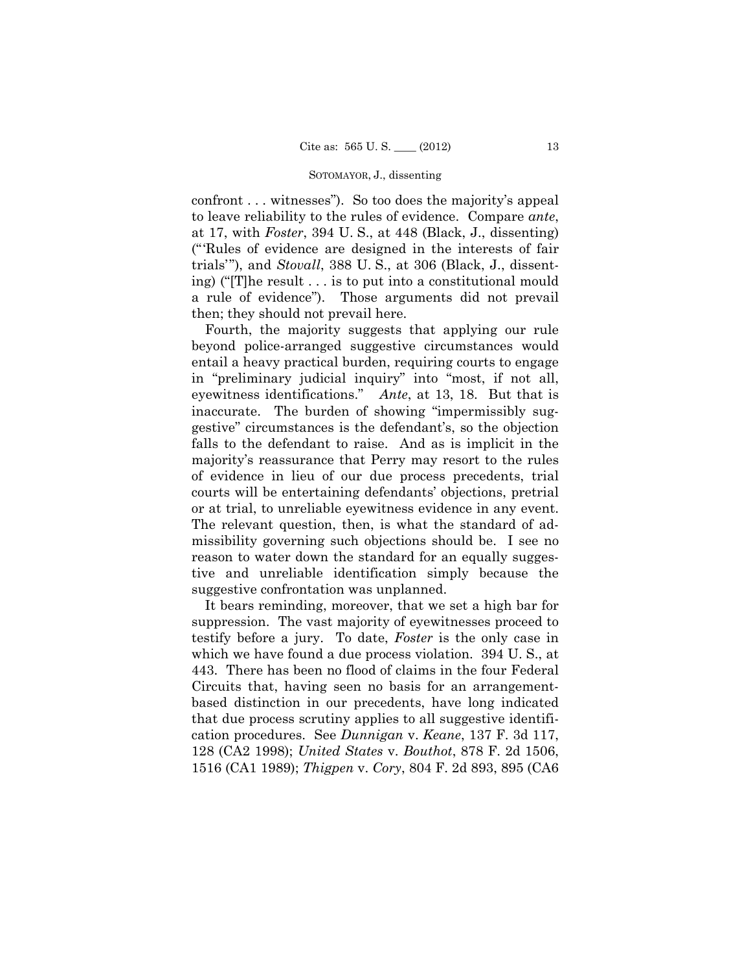confront . . . witnesses"). So too does the majority's appeal to leave reliability to the rules of evidence. Compare *ante*, at 17, with *Foster*, 394 U. S., at 448 (Black, J., dissenting) ("'Rules of evidence are designed in the interests of fair trials'"), and *Stovall*, 388 U. S., at 306 (Black, J., dissenting) ("[T]he result . . . is to put into a constitutional mould a rule of evidence"). Those arguments did not prevail then; they should not prevail here.

Fourth, the majority suggests that applying our rule beyond police-arranged suggestive circumstances would entail a heavy practical burden, requiring courts to engage in "preliminary judicial inquiry" into "most, if not all, eyewitness identifications." *Ante*, at 13, 18. But that is inaccurate. The burden of showing "impermissibly suggestive" circumstances is the defendant's, so the objection falls to the defendant to raise. And as is implicit in the majority's reassurance that Perry may resort to the rules of evidence in lieu of our due process precedents, trial courts will be entertaining defendants' objections, pretrial or at trial, to unreliable eyewitness evidence in any event. The relevant question, then, is what the standard of admissibility governing such objections should be. I see no reason to water down the standard for an equally suggestive and unreliable identification simply because the suggestive confrontation was unplanned.

It bears reminding, moreover, that we set a high bar for suppression. The vast majority of eyewitnesses proceed to testify before a jury. To date, *Foster* is the only case in which we have found a due process violation. 394 U. S., at 443. There has been no flood of claims in the four Federal Circuits that, having seen no basis for an arrangementbased distinction in our precedents, have long indicated that due process scrutiny applies to all suggestive identification procedures. See *Dunnigan* v. *Keane*, 137 F. 3d 117, 128 (CA2 1998); *United States* v. *Bouthot*, 878 F. 2d 1506, 1516 (CA1 1989); *Thigpen* v. *Cory*, 804 F. 2d 893, 895 (CA6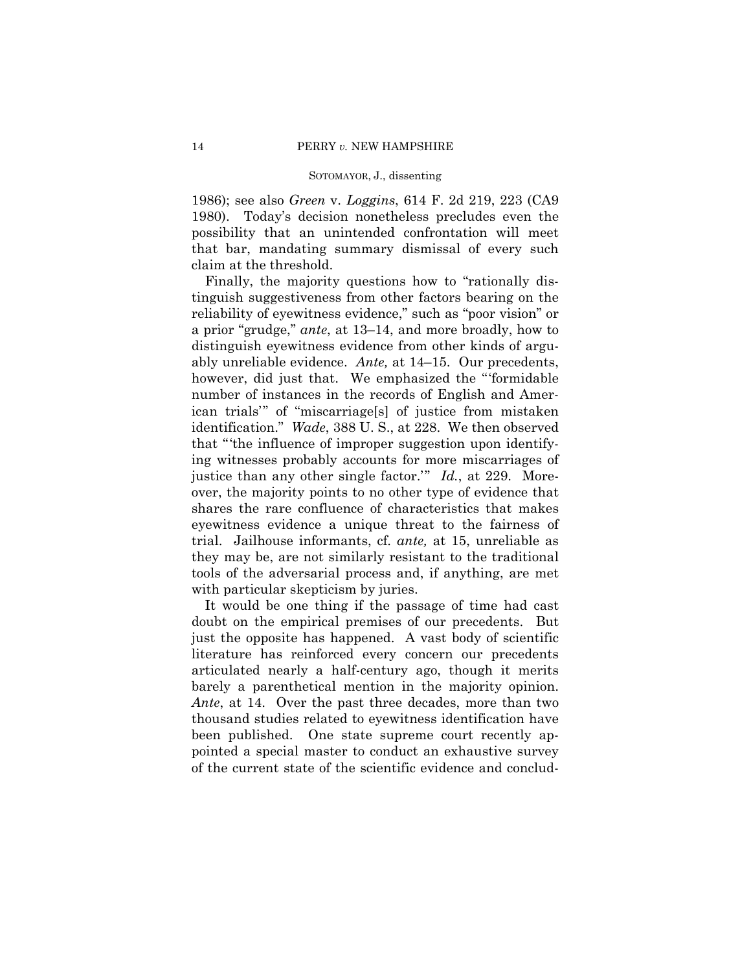1986); see also *Green* v. *Loggins*, 614 F. 2d 219, 223 (CA9 1980). Today's decision nonetheless precludes even the possibility that an unintended confrontation will meet that bar, mandating summary dismissal of every such claim at the threshold.

 identification." *Wade*, 388 U. S., at 228. We then observed Finally, the majority questions how to "rationally distinguish suggestiveness from other factors bearing on the reliability of eyewitness evidence," such as "poor vision" or a prior "grudge," *ante*, at 13–14, and more broadly, how to distinguish eyewitness evidence from other kinds of arguably unreliable evidence. *Ante,* at 14–15. Our precedents, however, did just that. We emphasized the "'formidable number of instances in the records of English and American trials'" of "miscarriage[s] of justice from mistaken that "'the influence of improper suggestion upon identifying witnesses probably accounts for more miscarriages of justice than any other single factor.'" *Id.*, at 229. Moreover, the majority points to no other type of evidence that shares the rare confluence of characteristics that makes eyewitness evidence a unique threat to the fairness of trial. Jailhouse informants, cf*. ante,* at 15, unreliable as they may be, are not similarly resistant to the traditional tools of the adversarial process and, if anything, are met with particular skepticism by juries.

It would be one thing if the passage of time had cast doubt on the empirical premises of our precedents. But just the opposite has happened. A vast body of scientific literature has reinforced every concern our precedents articulated nearly a half-century ago, though it merits barely a parenthetical mention in the majority opinion. *Ante*, at 14. Over the past three decades, more than two thousand studies related to eyewitness identification have been published. One state supreme court recently appointed a special master to conduct an exhaustive survey of the current state of the scientific evidence and conclud-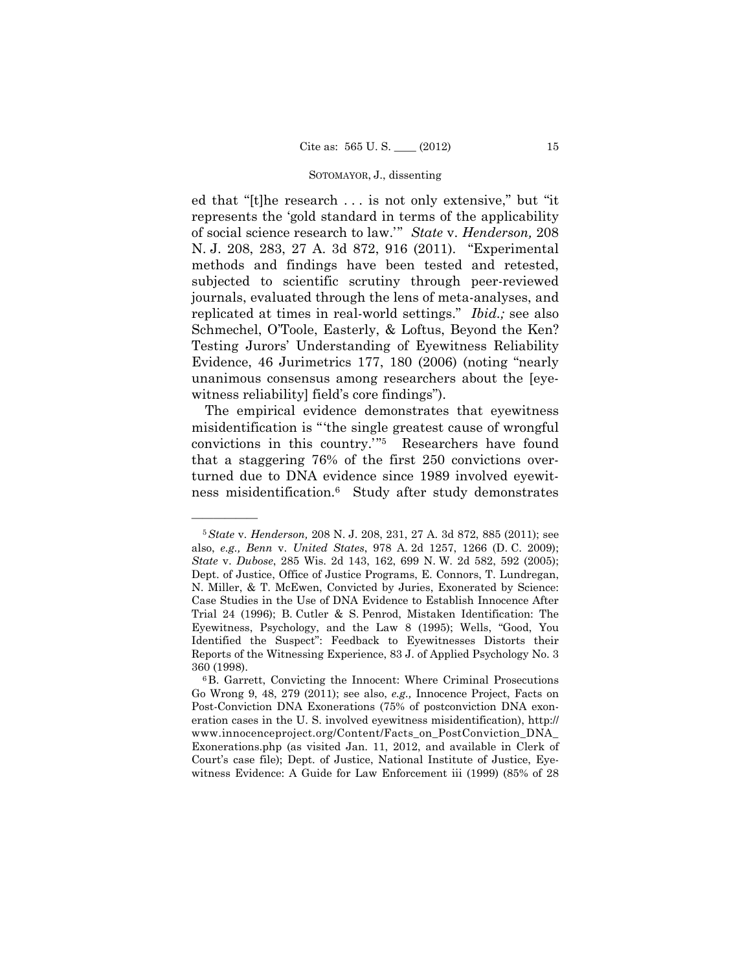ed that "[t]he research . . . is not only extensive," but "it represents the 'gold standard in terms of the applicability of social science research to law.'" *State* v. *Henderson,* 208 N. J. 208, 283, 27 A. 3d 872, 916 (2011). "Experimental methods and findings have been tested and retested, subjected to scientific scrutiny through peer-reviewed journals, evaluated through the lens of meta-analyses, and replicated at times in real-world settings." *Ibid.;* see also Schmechel, O'Toole, Easterly, & Loftus, Beyond the Ken? Testing Jurors' Understanding of Eyewitness Reliability Evidence, 46 Jurimetrics 177, 180 (2006) (noting "nearly unanimous consensus among researchers about the [eyewitness reliability] field's core findings").

The empirical evidence demonstrates that eyewitness misidentification is "'the single greatest cause of wrongful convictions in this country.'"5 Researchers have found that a staggering 76% of the first 250 convictions overturned due to DNA evidence since 1989 involved eyewitness misidentification.6 Study after study demonstrates

<sup>5</sup>*State* v. *Henderson,* 208 N. J. 208, 231, 27 A. 3d 872, 885 (2011); see also, *e.g., Benn* v. *United States*, 978 A. 2d 1257, 1266 (D. C. 2009); *State* v. *Dubose*, 285 Wis. 2d 143, 162, 699 N. W. 2d 582, 592 (2005); Dept. of Justice, Office of Justice Programs, E. Connors, T. Lundregan, N. Miller, & T. McEwen, Convicted by Juries, Exonerated by Science: Case Studies in the Use of DNA Evidence to Establish Innocence After Trial 24 (1996); B. Cutler & S. Penrod, Mistaken Identification: The Eyewitness, Psychology, and the Law 8 (1995); Wells, "Good, You Identified the Suspect": Feedback to Eyewitnesses Distorts their Reports of the Witnessing Experience, 83 J. of Applied Psychology No. 3 360 (1998).<br><sup>6</sup>B. Garrett, Convicting the Innocent: Where Criminal Prosecutions

Go Wrong 9, 48, 279 (2011); see also, *e.g.,* Innocence Project, Facts on Post-Conviction DNA Exonerations (75% of postconviction DNA exoneration cases in the U. S. involved eyewitness misidentification), http:// www.innocenceproject.org/Content/Facts\_on\_PostConviction\_DNA\_ Exonerations.php (as visited Jan. 11, 2012, and available in Clerk of Court's case file); Dept. of Justice, National Institute of Justice, Eyewitness Evidence: A Guide for Law Enforcement iii (1999) (85% of 28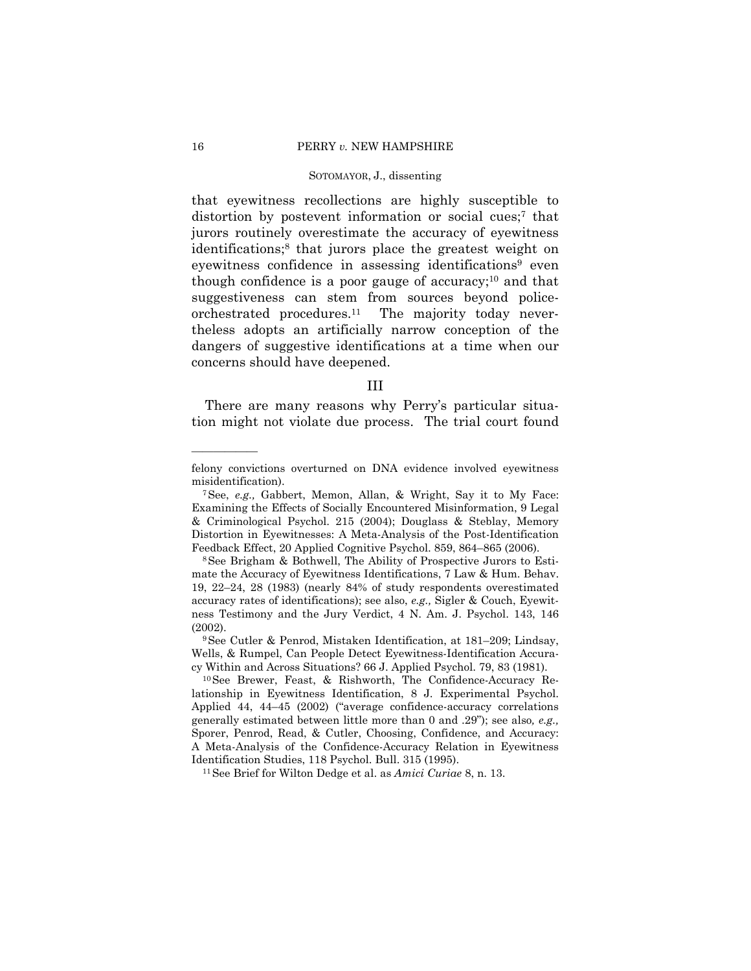that eyewitness recollections are highly susceptible to distortion by postevent information or social cues;<sup>7</sup> that jurors routinely overestimate the accuracy of eyewitness identifications;8 that jurors place the greatest weight on eyewitness confidence in assessing identifications<sup>9</sup> even though confidence is a poor gauge of accuracy; $10$  and that suggestiveness can stem from sources beyond policeorchestrated procedures.11 The majority today nevertheless adopts an artificially narrow conception of the dangers of suggestive identifications at a time when our concerns should have deepened.

## III

There are many reasons why Perry's particular situation might not violate due process. The trial court found

11See Brief for Wilton Dedge et al. as *Amici Curiae* 8, n. 13.

felony convictions overturned on DNA evidence involved eyewitness misidentification).<br><sup>7</sup>See, *e.g.*, Gabbert, Memon, Allan, & Wright, Say it to My Face:

Examining the Effects of Socially Encountered Misinformation, 9 Legal & Criminological Psychol. 215 (2004); Douglass & Steblay, Memory Distortion in Eyewitnesses: A Meta-Analysis of the Post-Identification Feedback Effect, 20 Applied Cognitive Psychol. 859, 864–865 (2006). 8See Brigham & Bothwell, The Ability of Prospective Jurors to Esti-

mate the Accuracy of Eyewitness Identifications, 7 Law & Hum. Behav. 19, 22–24, 28 (1983) (nearly 84% of study respondents overestimated accuracy rates of identifications); see also, *e.g.,* Sigler & Couch, Eyewitness Testimony and the Jury Verdict, 4 N. Am. J. Psychol. 143, 146 (2002).<br><sup>9</sup>See Cutler & Penrod, Mistaken Identification, at 181–209; Lindsay,

Wells, & Rumpel, Can People Detect Eyewitness-Identification Accuracy Within and Across Situations? 66 J. Applied Psychol. 79, 83 (1981). 10See Brewer, Feast, & Rishworth, The Confidence-Accuracy Re-

lationship in Eyewitness Identification, 8 J. Experimental Psychol. Applied 44, 44–45 (2002) ("average confidence-accuracy correlations generally estimated between little more than 0 and .29"); see also*, e.g.,* Sporer, Penrod, Read, & Cutler, Choosing, Confidence, and Accuracy: A Meta-Analysis of the Confidence-Accuracy Relation in Eyewitness Identification Studies, 118 Psychol. Bull. 315 (1995).